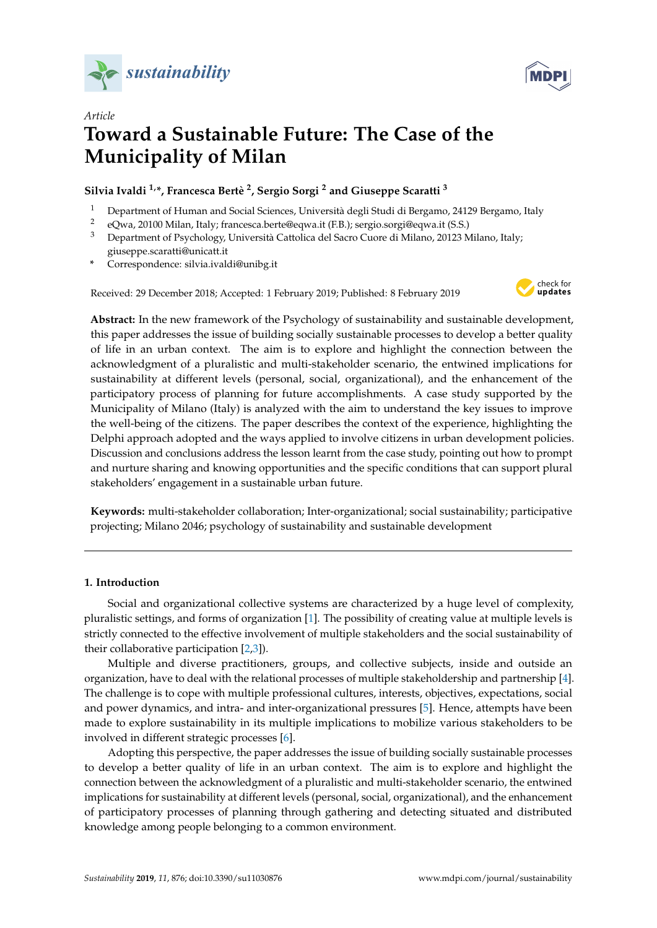



# *Article* **Toward a Sustainable Future: The Case of the Municipality of Milan**

# **Silvia Ivaldi 1,\*, Francesca Bertè 2 , Sergio Sorgi <sup>2</sup> and Giuseppe Scaratti <sup>3</sup>**

- <sup>1</sup> Department of Human and Social Sciences, Università degli Studi di Bergamo, 24129 Bergamo, Italy
- 2 eQwa, 20100 Milan, Italy; francesca.berte@eqwa.it (F.B.); sergio.sorgi@eqwa.it (S.S.)
- <sup>3</sup> Department of Psychology, Università Cattolica del Sacro Cuore di Milano, 20123 Milano, Italy; giuseppe.scaratti@unicatt.it
- **\*** Correspondence: silvia.ivaldi@unibg.it

Received: 29 December 2018; Accepted: 1 February 2019; Published: 8 February 2019



**Abstract:** In the new framework of the Psychology of sustainability and sustainable development, this paper addresses the issue of building socially sustainable processes to develop a better quality of life in an urban context. The aim is to explore and highlight the connection between the acknowledgment of a pluralistic and multi-stakeholder scenario, the entwined implications for sustainability at different levels (personal, social, organizational), and the enhancement of the participatory process of planning for future accomplishments. A case study supported by the Municipality of Milano (Italy) is analyzed with the aim to understand the key issues to improve the well-being of the citizens. The paper describes the context of the experience, highlighting the Delphi approach adopted and the ways applied to involve citizens in urban development policies. Discussion and conclusions address the lesson learnt from the case study, pointing out how to prompt and nurture sharing and knowing opportunities and the specific conditions that can support plural stakeholders' engagement in a sustainable urban future.

**Keywords:** multi-stakeholder collaboration; Inter-organizational; social sustainability; participative projecting; Milano 2046; psychology of sustainability and sustainable development

# **1. Introduction**

Social and organizational collective systems are characterized by a huge level of complexity, pluralistic settings, and forms of organization [\[1\]](#page-18-0). The possibility of creating value at multiple levels is strictly connected to the effective involvement of multiple stakeholders and the social sustainability of their collaborative participation [\[2,](#page-18-1)[3\]](#page-18-2)).

Multiple and diverse practitioners, groups, and collective subjects, inside and outside an organization, have to deal with the relational processes of multiple stakeholdership and partnership [\[4\]](#page-18-3). The challenge is to cope with multiple professional cultures, interests, objectives, expectations, social and power dynamics, and intra- and inter-organizational pressures [\[5\]](#page-18-4). Hence, attempts have been made to explore sustainability in its multiple implications to mobilize various stakeholders to be involved in different strategic processes [\[6\]](#page-18-5).

Adopting this perspective, the paper addresses the issue of building socially sustainable processes to develop a better quality of life in an urban context. The aim is to explore and highlight the connection between the acknowledgment of a pluralistic and multi-stakeholder scenario, the entwined implications for sustainability at different levels (personal, social, organizational), and the enhancement of participatory processes of planning through gathering and detecting situated and distributed knowledge among people belonging to a common environment.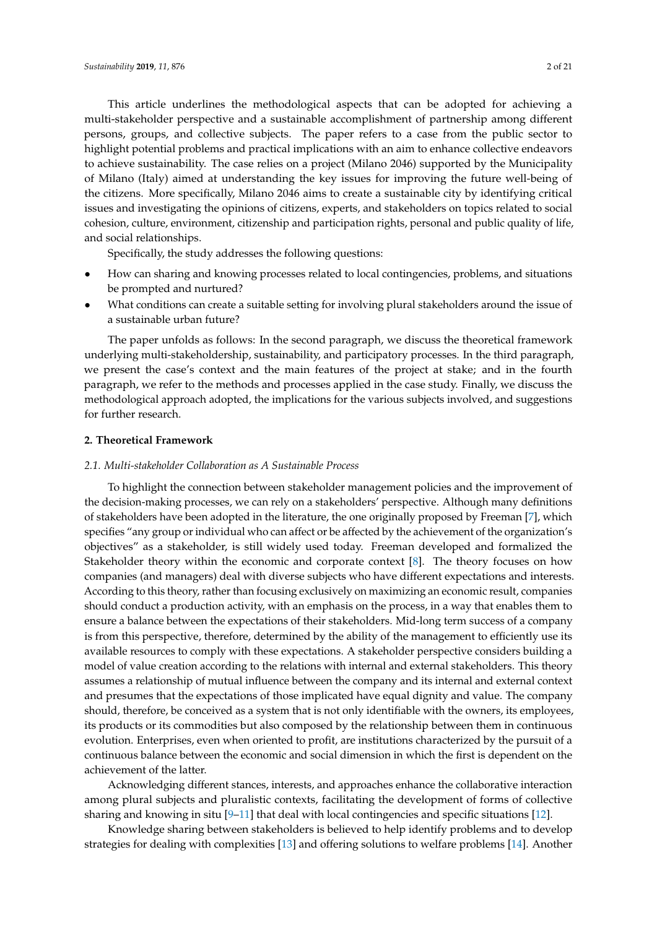This article underlines the methodological aspects that can be adopted for achieving a multi-stakeholder perspective and a sustainable accomplishment of partnership among different persons, groups, and collective subjects. The paper refers to a case from the public sector to highlight potential problems and practical implications with an aim to enhance collective endeavors to achieve sustainability. The case relies on a project (Milano 2046) supported by the Municipality of Milano (Italy) aimed at understanding the key issues for improving the future well-being of the citizens. More specifically, Milano 2046 aims to create a sustainable city by identifying critical issues and investigating the opinions of citizens, experts, and stakeholders on topics related to social cohesion, culture, environment, citizenship and participation rights, personal and public quality of life, and social relationships.

Specifically, the study addresses the following questions:

- How can sharing and knowing processes related to local contingencies, problems, and situations be prompted and nurtured?
- What conditions can create a suitable setting for involving plural stakeholders around the issue of a sustainable urban future?

The paper unfolds as follows: In the second paragraph, we discuss the theoretical framework underlying multi-stakeholdership, sustainability, and participatory processes. In the third paragraph, we present the case's context and the main features of the project at stake; and in the fourth paragraph, we refer to the methods and processes applied in the case study. Finally, we discuss the methodological approach adopted, the implications for the various subjects involved, and suggestions for further research.

# **2. Theoretical Framework**

#### *2.1. Multi-stakeholder Collaboration as A Sustainable Process*

To highlight the connection between stakeholder management policies and the improvement of the decision-making processes, we can rely on a stakeholders' perspective. Although many definitions of stakeholders have been adopted in the literature, the one originally proposed by Freeman [\[7\]](#page-18-6), which specifies "any group or individual who can affect or be affected by the achievement of the organization's objectives" as a stakeholder, is still widely used today. Freeman developed and formalized the Stakeholder theory within the economic and corporate context [\[8\]](#page-18-7). The theory focuses on how companies (and managers) deal with diverse subjects who have different expectations and interests. According to this theory, rather than focusing exclusively on maximizing an economic result, companies should conduct a production activity, with an emphasis on the process, in a way that enables them to ensure a balance between the expectations of their stakeholders. Mid-long term success of a company is from this perspective, therefore, determined by the ability of the management to efficiently use its available resources to comply with these expectations. A stakeholder perspective considers building a model of value creation according to the relations with internal and external stakeholders. This theory assumes a relationship of mutual influence between the company and its internal and external context and presumes that the expectations of those implicated have equal dignity and value. The company should, therefore, be conceived as a system that is not only identifiable with the owners, its employees, its products or its commodities but also composed by the relationship between them in continuous evolution. Enterprises, even when oriented to profit, are institutions characterized by the pursuit of a continuous balance between the economic and social dimension in which the first is dependent on the achievement of the latter.

Acknowledging different stances, interests, and approaches enhance the collaborative interaction among plural subjects and pluralistic contexts, facilitating the development of forms of collective sharing and knowing in situ  $[9-11]$  $[9-11]$  that deal with local contingencies and specific situations [\[12\]](#page-19-0).

Knowledge sharing between stakeholders is believed to help identify problems and to develop strategies for dealing with complexities [\[13\]](#page-19-1) and offering solutions to welfare problems [\[14\]](#page-19-2). Another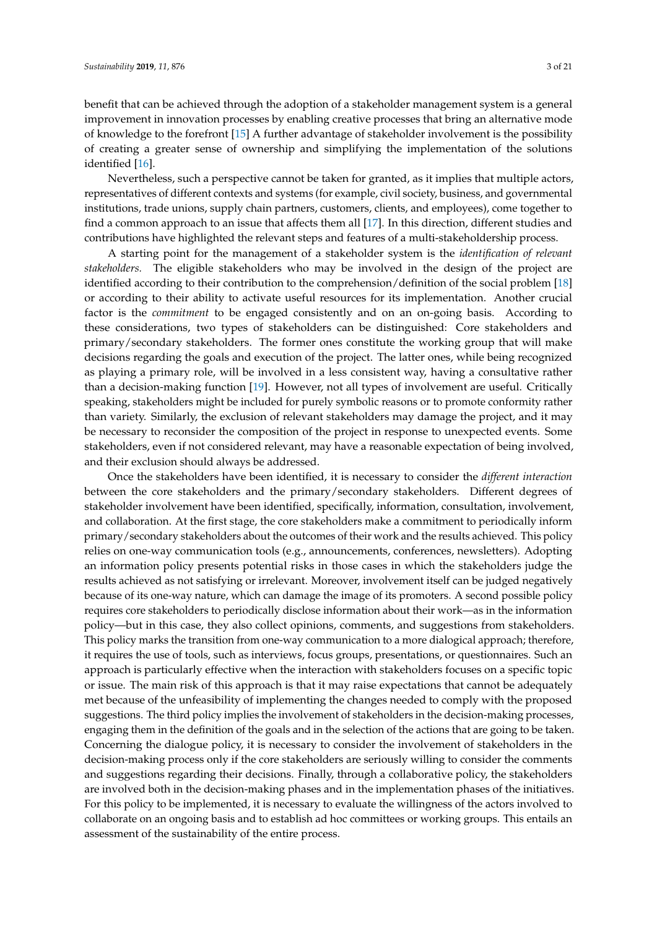benefit that can be achieved through the adoption of a stakeholder management system is a general improvement in innovation processes by enabling creative processes that bring an alternative mode of knowledge to the forefront [\[15\]](#page-19-3) A further advantage of stakeholder involvement is the possibility of creating a greater sense of ownership and simplifying the implementation of the solutions identified [\[16\]](#page-19-4).

Nevertheless, such a perspective cannot be taken for granted, as it implies that multiple actors, representatives of different contexts and systems (for example, civil society, business, and governmental institutions, trade unions, supply chain partners, customers, clients, and employees), come together to find a common approach to an issue that affects them all [\[17\]](#page-19-5). In this direction, different studies and contributions have highlighted the relevant steps and features of a multi-stakeholdership process.

A starting point for the management of a stakeholder system is the *identification of relevant stakeholders.* The eligible stakeholders who may be involved in the design of the project are identified according to their contribution to the comprehension/definition of the social problem [\[18\]](#page-19-6) or according to their ability to activate useful resources for its implementation. Another crucial factor is the *commitment* to be engaged consistently and on an on-going basis. According to these considerations, two types of stakeholders can be distinguished: Core stakeholders and primary/secondary stakeholders. The former ones constitute the working group that will make decisions regarding the goals and execution of the project. The latter ones, while being recognized as playing a primary role, will be involved in a less consistent way, having a consultative rather than a decision-making function [\[19\]](#page-19-7). However, not all types of involvement are useful. Critically speaking, stakeholders might be included for purely symbolic reasons or to promote conformity rather than variety. Similarly, the exclusion of relevant stakeholders may damage the project, and it may be necessary to reconsider the composition of the project in response to unexpected events. Some stakeholders, even if not considered relevant, may have a reasonable expectation of being involved, and their exclusion should always be addressed.

Once the stakeholders have been identified, it is necessary to consider the *different interaction* between the core stakeholders and the primary/secondary stakeholders. Different degrees of stakeholder involvement have been identified, specifically, information, consultation, involvement, and collaboration. At the first stage, the core stakeholders make a commitment to periodically inform primary/secondary stakeholders about the outcomes of their work and the results achieved. This policy relies on one-way communication tools (e.g., announcements, conferences, newsletters). Adopting an information policy presents potential risks in those cases in which the stakeholders judge the results achieved as not satisfying or irrelevant. Moreover, involvement itself can be judged negatively because of its one-way nature, which can damage the image of its promoters. A second possible policy requires core stakeholders to periodically disclose information about their work—as in the information policy—but in this case, they also collect opinions, comments, and suggestions from stakeholders. This policy marks the transition from one-way communication to a more dialogical approach; therefore, it requires the use of tools, such as interviews, focus groups, presentations, or questionnaires. Such an approach is particularly effective when the interaction with stakeholders focuses on a specific topic or issue. The main risk of this approach is that it may raise expectations that cannot be adequately met because of the unfeasibility of implementing the changes needed to comply with the proposed suggestions. The third policy implies the involvement of stakeholders in the decision-making processes, engaging them in the definition of the goals and in the selection of the actions that are going to be taken. Concerning the dialogue policy, it is necessary to consider the involvement of stakeholders in the decision-making process only if the core stakeholders are seriously willing to consider the comments and suggestions regarding their decisions. Finally, through a collaborative policy, the stakeholders are involved both in the decision-making phases and in the implementation phases of the initiatives. For this policy to be implemented, it is necessary to evaluate the willingness of the actors involved to collaborate on an ongoing basis and to establish ad hoc committees or working groups. This entails an assessment of the sustainability of the entire process.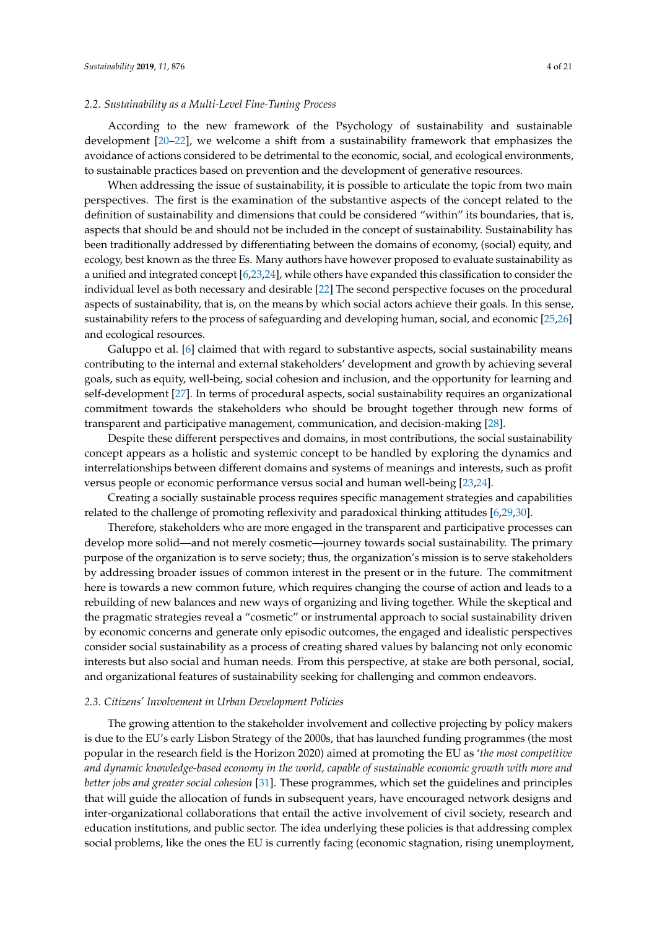## *2.2. Sustainability as a Multi-Level Fine-Tuning Process*

According to the new framework of the Psychology of sustainability and sustainable development [\[20](#page-19-8)[–22\]](#page-19-9), we welcome a shift from a sustainability framework that emphasizes the avoidance of actions considered to be detrimental to the economic, social, and ecological environments, to sustainable practices based on prevention and the development of generative resources.

When addressing the issue of sustainability, it is possible to articulate the topic from two main perspectives. The first is the examination of the substantive aspects of the concept related to the definition of sustainability and dimensions that could be considered "within" its boundaries, that is, aspects that should be and should not be included in the concept of sustainability. Sustainability has been traditionally addressed by differentiating between the domains of economy, (social) equity, and ecology, best known as the three Es. Many authors have however proposed to evaluate sustainability as a unified and integrated concept [\[6,](#page-18-5)[23,](#page-19-10)[24\]](#page-19-11), while others have expanded this classification to consider the individual level as both necessary and desirable [\[22\]](#page-19-9) The second perspective focuses on the procedural aspects of sustainability, that is, on the means by which social actors achieve their goals. In this sense, sustainability refers to the process of safeguarding and developing human, social, and economic [\[25,](#page-19-12)[26\]](#page-19-13) and ecological resources.

Galuppo et al. [\[6\]](#page-18-5) claimed that with regard to substantive aspects, social sustainability means contributing to the internal and external stakeholders' development and growth by achieving several goals, such as equity, well-being, social cohesion and inclusion, and the opportunity for learning and self-development [\[27\]](#page-19-14). In terms of procedural aspects, social sustainability requires an organizational commitment towards the stakeholders who should be brought together through new forms of transparent and participative management, communication, and decision-making [\[28\]](#page-19-15).

Despite these different perspectives and domains, in most contributions, the social sustainability concept appears as a holistic and systemic concept to be handled by exploring the dynamics and interrelationships between different domains and systems of meanings and interests, such as profit versus people or economic performance versus social and human well-being [\[23,](#page-19-10)[24\]](#page-19-11).

Creating a socially sustainable process requires specific management strategies and capabilities related to the challenge of promoting reflexivity and paradoxical thinking attitudes [\[6](#page-18-5)[,29](#page-19-16)[,30\]](#page-19-17).

Therefore, stakeholders who are more engaged in the transparent and participative processes can develop more solid—and not merely cosmetic—journey towards social sustainability. The primary purpose of the organization is to serve society; thus, the organization's mission is to serve stakeholders by addressing broader issues of common interest in the present or in the future. The commitment here is towards a new common future, which requires changing the course of action and leads to a rebuilding of new balances and new ways of organizing and living together. While the skeptical and the pragmatic strategies reveal a "cosmetic" or instrumental approach to social sustainability driven by economic concerns and generate only episodic outcomes, the engaged and idealistic perspectives consider social sustainability as a process of creating shared values by balancing not only economic interests but also social and human needs. From this perspective, at stake are both personal, social, and organizational features of sustainability seeking for challenging and common endeavors.

# *2.3. Citizens' Involvement in Urban Development Policies*

The growing attention to the stakeholder involvement and collective projecting by policy makers is due to the EU's early Lisbon Strategy of the 2000s, that has launched funding programmes (the most popular in the research field is the Horizon 2020) aimed at promoting the EU as '*the most competitive and dynamic knowledge-based economy in the world, capable of sustainable economic growth with more and better jobs and greater social cohesion* [\[31\]](#page-19-18). These programmes, which set the guidelines and principles that will guide the allocation of funds in subsequent years, have encouraged network designs and inter-organizational collaborations that entail the active involvement of civil society, research and education institutions, and public sector. The idea underlying these policies is that addressing complex social problems, like the ones the EU is currently facing (economic stagnation, rising unemployment,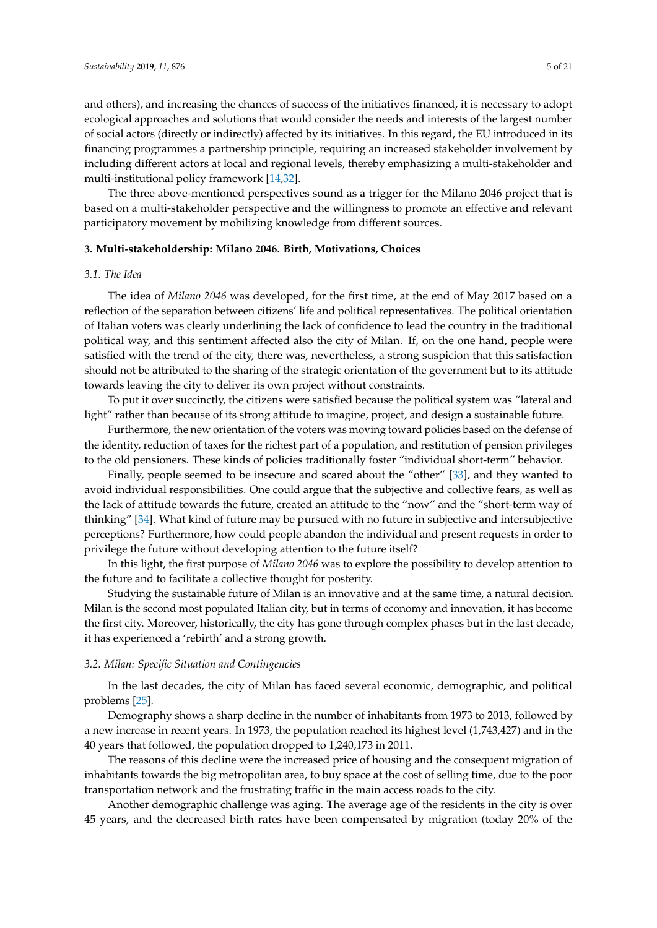and others), and increasing the chances of success of the initiatives financed, it is necessary to adopt ecological approaches and solutions that would consider the needs and interests of the largest number of social actors (directly or indirectly) affected by its initiatives. In this regard, the EU introduced in its financing programmes a partnership principle, requiring an increased stakeholder involvement by including different actors at local and regional levels, thereby emphasizing a multi-stakeholder and multi-institutional policy framework [\[14](#page-19-2)[,32\]](#page-19-19).

The three above-mentioned perspectives sound as a trigger for the Milano 2046 project that is based on a multi-stakeholder perspective and the willingness to promote an effective and relevant participatory movement by mobilizing knowledge from different sources.

### **3. Multi-stakeholdership: Milano 2046. Birth, Motivations, Choices**

### *3.1. The Idea*

The idea of *Milano 2046* was developed, for the first time, at the end of May 2017 based on a reflection of the separation between citizens' life and political representatives. The political orientation of Italian voters was clearly underlining the lack of confidence to lead the country in the traditional political way, and this sentiment affected also the city of Milan. If, on the one hand, people were satisfied with the trend of the city, there was, nevertheless, a strong suspicion that this satisfaction should not be attributed to the sharing of the strategic orientation of the government but to its attitude towards leaving the city to deliver its own project without constraints.

To put it over succinctly, the citizens were satisfied because the political system was "lateral and light" rather than because of its strong attitude to imagine, project, and design a sustainable future.

Furthermore, the new orientation of the voters was moving toward policies based on the defense of the identity, reduction of taxes for the richest part of a population, and restitution of pension privileges to the old pensioners. These kinds of policies traditionally foster "individual short-term" behavior.

Finally, people seemed to be insecure and scared about the "other" [\[33\]](#page-19-20), and they wanted to avoid individual responsibilities. One could argue that the subjective and collective fears, as well as the lack of attitude towards the future, created an attitude to the "now" and the "short-term way of thinking" [\[34\]](#page-19-21). What kind of future may be pursued with no future in subjective and intersubjective perceptions? Furthermore, how could people abandon the individual and present requests in order to privilege the future without developing attention to the future itself?

In this light, the first purpose of *Milano 2046* was to explore the possibility to develop attention to the future and to facilitate a collective thought for posterity.

Studying the sustainable future of Milan is an innovative and at the same time, a natural decision. Milan is the second most populated Italian city, but in terms of economy and innovation, it has become the first city. Moreover, historically, the city has gone through complex phases but in the last decade, it has experienced a 'rebirth' and a strong growth.

#### *3.2. Milan: Specific Situation and Contingencies*

In the last decades, the city of Milan has faced several economic, demographic, and political problems [\[25\]](#page-19-12).

Demography shows a sharp decline in the number of inhabitants from 1973 to 2013, followed by a new increase in recent years. In 1973, the population reached its highest level (1,743,427) and in the 40 years that followed, the population dropped to 1,240,173 in 2011.

The reasons of this decline were the increased price of housing and the consequent migration of inhabitants towards the big metropolitan area, to buy space at the cost of selling time, due to the poor transportation network and the frustrating traffic in the main access roads to the city.

Another demographic challenge was aging. The average age of the residents in the city is over 45 years, and the decreased birth rates have been compensated by migration (today 20% of the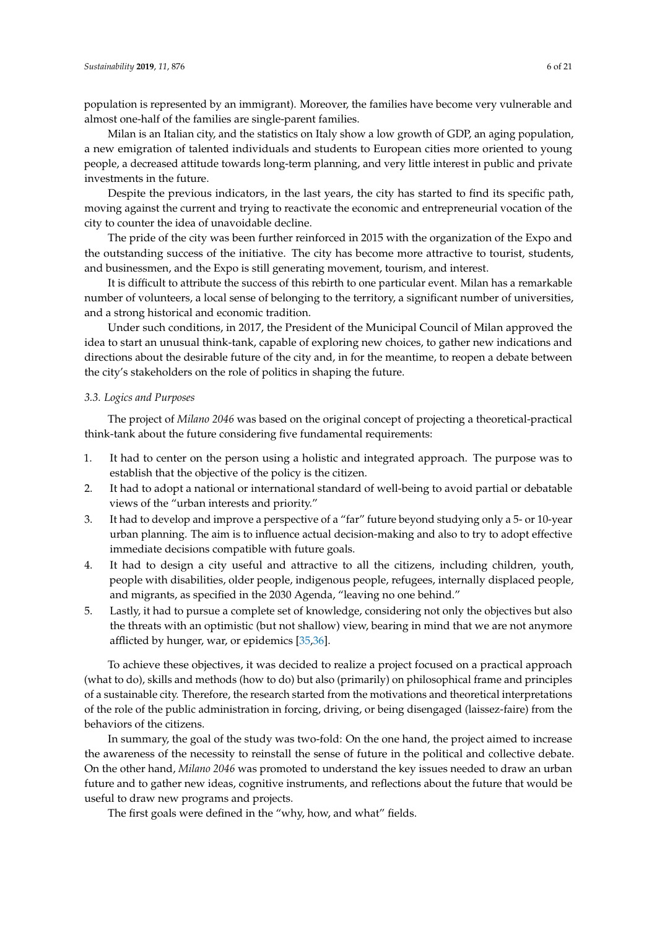population is represented by an immigrant). Moreover, the families have become very vulnerable and almost one-half of the families are single-parent families.

Milan is an Italian city, and the statistics on Italy show a low growth of GDP, an aging population, a new emigration of talented individuals and students to European cities more oriented to young people, a decreased attitude towards long-term planning, and very little interest in public and private investments in the future.

Despite the previous indicators, in the last years, the city has started to find its specific path, moving against the current and trying to reactivate the economic and entrepreneurial vocation of the city to counter the idea of unavoidable decline.

The pride of the city was been further reinforced in 2015 with the organization of the Expo and the outstanding success of the initiative. The city has become more attractive to tourist, students, and businessmen, and the Expo is still generating movement, tourism, and interest.

It is difficult to attribute the success of this rebirth to one particular event. Milan has a remarkable number of volunteers, a local sense of belonging to the territory, a significant number of universities, and a strong historical and economic tradition.

Under such conditions, in 2017, the President of the Municipal Council of Milan approved the idea to start an unusual think-tank, capable of exploring new choices, to gather new indications and directions about the desirable future of the city and, in for the meantime, to reopen a debate between the city's stakeholders on the role of politics in shaping the future.

#### *3.3. Logics and Purposes*

The project of *Milano 2046* was based on the original concept of projecting a theoretical-practical think-tank about the future considering five fundamental requirements:

- 1. It had to center on the person using a holistic and integrated approach. The purpose was to establish that the objective of the policy is the citizen.
- 2. It had to adopt a national or international standard of well-being to avoid partial or debatable views of the "urban interests and priority."
- 3. It had to develop and improve a perspective of a "far" future beyond studying only a 5- or 10-year urban planning. The aim is to influence actual decision-making and also to try to adopt effective immediate decisions compatible with future goals.
- 4. It had to design a city useful and attractive to all the citizens, including children, youth, people with disabilities, older people, indigenous people, refugees, internally displaced people, and migrants, as specified in the 2030 Agenda, "leaving no one behind."
- 5. Lastly, it had to pursue a complete set of knowledge, considering not only the objectives but also the threats with an optimistic (but not shallow) view, bearing in mind that we are not anymore afflicted by hunger, war, or epidemics [\[35](#page-19-22)[,36\]](#page-19-23).

To achieve these objectives, it was decided to realize a project focused on a practical approach (what to do), skills and methods (how to do) but also (primarily) on philosophical frame and principles of a sustainable city. Therefore, the research started from the motivations and theoretical interpretations of the role of the public administration in forcing, driving, or being disengaged (laissez-faire) from the behaviors of the citizens.

In summary, the goal of the study was two-fold: On the one hand, the project aimed to increase the awareness of the necessity to reinstall the sense of future in the political and collective debate. On the other hand, *Milano 2046* was promoted to understand the key issues needed to draw an urban future and to gather new ideas, cognitive instruments, and reflections about the future that would be useful to draw new programs and projects.

The first goals were defined in the "why, how, and what" fields.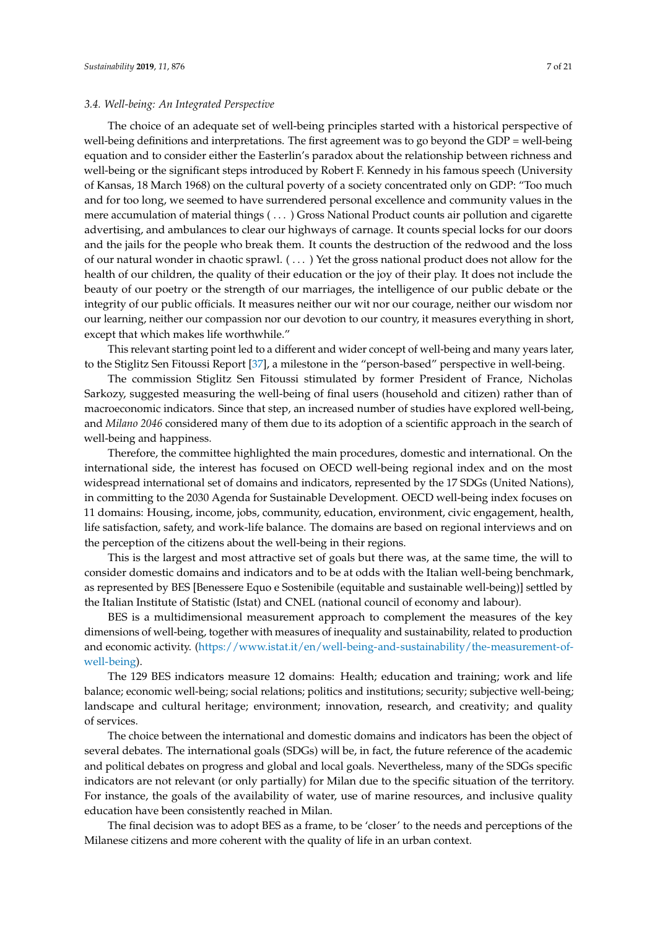#### *3.4. Well-being: An Integrated Perspective*

The choice of an adequate set of well-being principles started with a historical perspective of well-being definitions and interpretations. The first agreement was to go beyond the GDP = well-being equation and to consider either the Easterlin's paradox about the relationship between richness and well-being or the significant steps introduced by Robert F. Kennedy in his famous speech (University of Kansas, 18 March 1968) on the cultural poverty of a society concentrated only on GDP: "Too much and for too long, we seemed to have surrendered personal excellence and community values in the mere accumulation of material things ( . . . ) Gross National Product counts air pollution and cigarette advertising, and ambulances to clear our highways of carnage. It counts special locks for our doors and the jails for the people who break them. It counts the destruction of the redwood and the loss of our natural wonder in chaotic sprawl. ( . . . ) Yet the gross national product does not allow for the health of our children, the quality of their education or the joy of their play. It does not include the beauty of our poetry or the strength of our marriages, the intelligence of our public debate or the integrity of our public officials. It measures neither our wit nor our courage, neither our wisdom nor our learning, neither our compassion nor our devotion to our country, it measures everything in short, except that which makes life worthwhile."

This relevant starting point led to a different and wider concept of well-being and many years later, to the Stiglitz Sen Fitoussi Report [\[37\]](#page-19-24), a milestone in the "person-based" perspective in well-being.

The commission Stiglitz Sen Fitoussi stimulated by former President of France, Nicholas Sarkozy, suggested measuring the well-being of final users (household and citizen) rather than of macroeconomic indicators. Since that step, an increased number of studies have explored well-being, and *Milano 2046* considered many of them due to its adoption of a scientific approach in the search of well-being and happiness.

Therefore, the committee highlighted the main procedures, domestic and international. On the international side, the interest has focused on OECD well-being regional index and on the most widespread international set of domains and indicators, represented by the 17 SDGs (United Nations), in committing to the 2030 Agenda for Sustainable Development. OECD well-being index focuses on 11 domains: Housing, income, jobs, community, education, environment, civic engagement, health, life satisfaction, safety, and work-life balance. The domains are based on regional interviews and on the perception of the citizens about the well-being in their regions.

This is the largest and most attractive set of goals but there was, at the same time, the will to consider domestic domains and indicators and to be at odds with the Italian well-being benchmark, as represented by BES [Benessere Equo e Sostenibile (equitable and sustainable well-being)] settled by the Italian Institute of Statistic (Istat) and CNEL (national council of economy and labour).

BES is a multidimensional measurement approach to complement the measures of the key dimensions of well-being, together with measures of inequality and sustainability, related to production and economic activity. [\(https://www.istat.it/en/well-being-and-sustainability/the-measurement-of](https://www.istat.it/en/well-being-and-sustainability/the-measurement-of-well-being)[well-being\)](https://www.istat.it/en/well-being-and-sustainability/the-measurement-of-well-being).

The 129 BES indicators measure 12 domains: Health; education and training; work and life balance; economic well-being; social relations; politics and institutions; security; subjective well-being; landscape and cultural heritage; environment; innovation, research, and creativity; and quality of services.

The choice between the international and domestic domains and indicators has been the object of several debates. The international goals (SDGs) will be, in fact, the future reference of the academic and political debates on progress and global and local goals. Nevertheless, many of the SDGs specific indicators are not relevant (or only partially) for Milan due to the specific situation of the territory. For instance, the goals of the availability of water, use of marine resources, and inclusive quality education have been consistently reached in Milan.

The final decision was to adopt BES as a frame, to be 'closer' to the needs and perceptions of the Milanese citizens and more coherent with the quality of life in an urban context.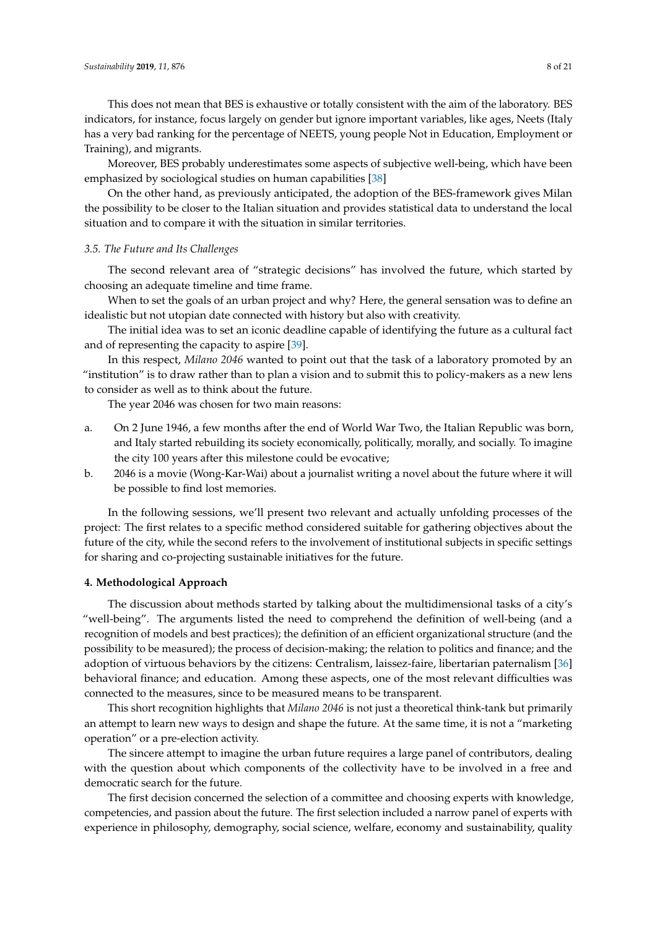This does not mean that BES is exhaustive or totally consistent with the aim of the laboratory. BES indicators, for instance, focus largely on gender but ignore important variables, like ages, Neets (Italy has a very bad ranking for the percentage of NEETS, young people Not in Education, Employment or Training), and migrants.

Moreover, BES probably underestimates some aspects of subjective well-being, which have been emphasized by sociological studies on human capabilities [\[38\]](#page-20-0)

On the other hand, as previously anticipated, the adoption of the BES-framework gives Milan the possibility to be closer to the Italian situation and provides statistical data to understand the local situation and to compare it with the situation in similar territories.

### *3.5. The Future and Its Challenges*

The second relevant area of "strategic decisions" has involved the future, which started by choosing an adequate timeline and time frame.

When to set the goals of an urban project and why? Here, the general sensation was to define an idealistic but not utopian date connected with history but also with creativity.

The initial idea was to set an iconic deadline capable of identifying the future as a cultural fact and of representing the capacity to aspire [\[39\]](#page-20-1).

In this respect, *Milano 2046* wanted to point out that the task of a laboratory promoted by an "institution" is to draw rather than to plan a vision and to submit this to policy-makers as a new lens to consider as well as to think about the future.

The year 2046 was chosen for two main reasons:

- a. On 2 June 1946, a few months after the end of World War Two, the Italian Republic was born, and Italy started rebuilding its society economically, politically, morally, and socially. To imagine the city 100 years after this milestone could be evocative;
- b. 2046 is a movie (Wong-Kar-Wai) about a journalist writing a novel about the future where it will be possible to find lost memories.

In the following sessions, we'll present two relevant and actually unfolding processes of the project: The first relates to a specific method considered suitable for gathering objectives about the future of the city, while the second refers to the involvement of institutional subjects in specific settings for sharing and co-projecting sustainable initiatives for the future.

# **4. Methodological Approach**

The discussion about methods started by talking about the multidimensional tasks of a city's "well-being". The arguments listed the need to comprehend the definition of well-being (and a recognition of models and best practices); the definition of an efficient organizational structure (and the possibility to be measured); the process of decision-making; the relation to politics and finance; and the adoption of virtuous behaviors by the citizens: Centralism, laissez-faire, libertarian paternalism [\[36\]](#page-19-23) behavioral finance; and education. Among these aspects, one of the most relevant difficulties was connected to the measures, since to be measured means to be transparent.

This short recognition highlights that *Milano 2046* is not just a theoretical think-tank but primarily an attempt to learn new ways to design and shape the future. At the same time, it is not a "marketing operation" or a pre-election activity.

The sincere attempt to imagine the urban future requires a large panel of contributors, dealing with the question about which components of the collectivity have to be involved in a free and democratic search for the future.

The first decision concerned the selection of a committee and choosing experts with knowledge, competencies, and passion about the future. The first selection included a narrow panel of experts with experience in philosophy, demography, social science, welfare, economy and sustainability, quality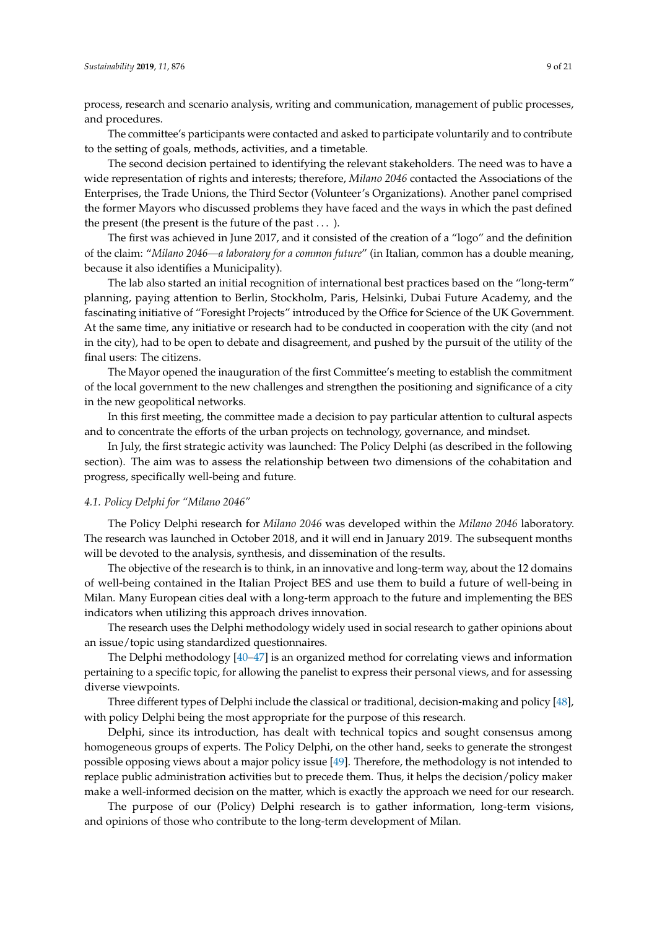process, research and scenario analysis, writing and communication, management of public processes, and procedures.

The committee's participants were contacted and asked to participate voluntarily and to contribute to the setting of goals, methods, activities, and a timetable.

The second decision pertained to identifying the relevant stakeholders. The need was to have a wide representation of rights and interests; therefore, *Milano 2046* contacted the Associations of the Enterprises, the Trade Unions, the Third Sector (Volunteer's Organizations). Another panel comprised the former Mayors who discussed problems they have faced and the ways in which the past defined the present (the present is the future of the past  $\dots$  ).

The first was achieved in June 2017, and it consisted of the creation of a "logo" and the definition of the claim: "*Milano 2046—a laboratory for a common future*" (in Italian, common has a double meaning, because it also identifies a Municipality).

The lab also started an initial recognition of international best practices based on the "long-term" planning, paying attention to Berlin, Stockholm, Paris, Helsinki, Dubai Future Academy, and the fascinating initiative of "Foresight Projects" introduced by the Office for Science of the UK Government. At the same time, any initiative or research had to be conducted in cooperation with the city (and not in the city), had to be open to debate and disagreement, and pushed by the pursuit of the utility of the final users: The citizens.

The Mayor opened the inauguration of the first Committee's meeting to establish the commitment of the local government to the new challenges and strengthen the positioning and significance of a city in the new geopolitical networks.

In this first meeting, the committee made a decision to pay particular attention to cultural aspects and to concentrate the efforts of the urban projects on technology, governance, and mindset.

In July, the first strategic activity was launched: The Policy Delphi (as described in the following section). The aim was to assess the relationship between two dimensions of the cohabitation and progress, specifically well-being and future.

# *4.1. Policy Delphi for "Milano 2046"*

The Policy Delphi research for *Milano 2046* was developed within the *Milano 2046* laboratory. The research was launched in October 2018, and it will end in January 2019. The subsequent months will be devoted to the analysis, synthesis, and dissemination of the results.

The objective of the research is to think, in an innovative and long-term way, about the 12 domains of well-being contained in the Italian Project BES and use them to build a future of well-being in Milan. Many European cities deal with a long-term approach to the future and implementing the BES indicators when utilizing this approach drives innovation.

The research uses the Delphi methodology widely used in social research to gather opinions about an issue/topic using standardized questionnaires.

The Delphi methodology [\[40–](#page-20-2)[47\]](#page-20-3) is an organized method for correlating views and information pertaining to a specific topic, for allowing the panelist to express their personal views, and for assessing diverse viewpoints.

Three different types of Delphi include the classical or traditional, decision-making and policy [\[48\]](#page-20-4), with policy Delphi being the most appropriate for the purpose of this research.

Delphi, since its introduction, has dealt with technical topics and sought consensus among homogeneous groups of experts. The Policy Delphi, on the other hand, seeks to generate the strongest possible opposing views about a major policy issue [\[49\]](#page-20-5). Therefore, the methodology is not intended to replace public administration activities but to precede them. Thus, it helps the decision/policy maker make a well-informed decision on the matter, which is exactly the approach we need for our research.

The purpose of our (Policy) Delphi research is to gather information, long-term visions, and opinions of those who contribute to the long-term development of Milan.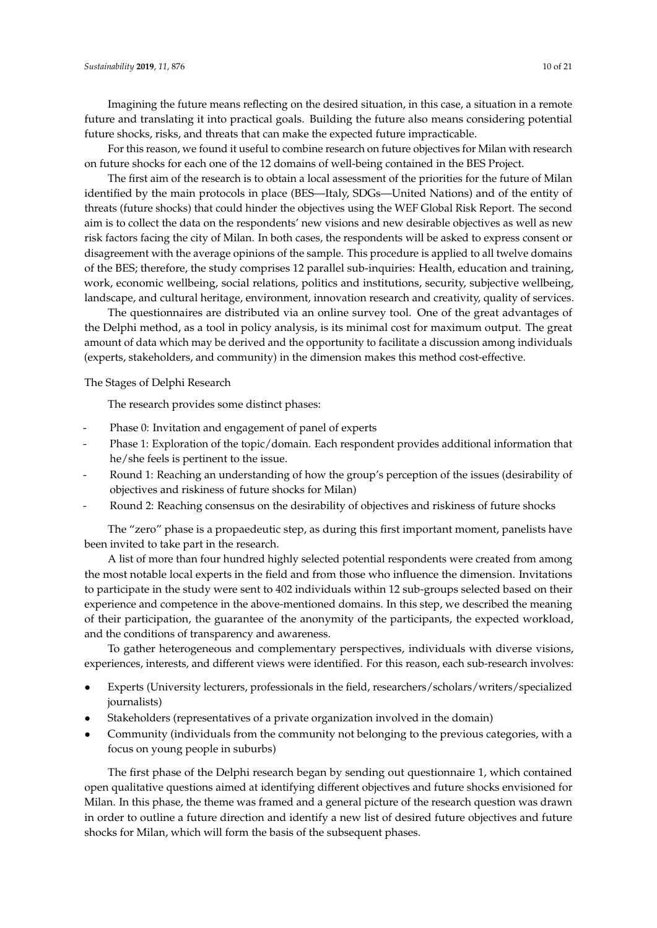Imagining the future means reflecting on the desired situation, in this case, a situation in a remote future and translating it into practical goals. Building the future also means considering potential future shocks, risks, and threats that can make the expected future impracticable.

For this reason, we found it useful to combine research on future objectives for Milan with research on future shocks for each one of the 12 domains of well-being contained in the BES Project.

The first aim of the research is to obtain a local assessment of the priorities for the future of Milan identified by the main protocols in place (BES—Italy, SDGs—United Nations) and of the entity of threats (future shocks) that could hinder the objectives using the WEF Global Risk Report. The second aim is to collect the data on the respondents' new visions and new desirable objectives as well as new risk factors facing the city of Milan. In both cases, the respondents will be asked to express consent or disagreement with the average opinions of the sample. This procedure is applied to all twelve domains of the BES; therefore, the study comprises 12 parallel sub-inquiries: Health, education and training, work, economic wellbeing, social relations, politics and institutions, security, subjective wellbeing, landscape, and cultural heritage, environment, innovation research and creativity, quality of services.

The questionnaires are distributed via an online survey tool. One of the great advantages of the Delphi method, as a tool in policy analysis, is its minimal cost for maximum output. The great amount of data which may be derived and the opportunity to facilitate a discussion among individuals (experts, stakeholders, and community) in the dimension makes this method cost-effective.

The Stages of Delphi Research

The research provides some distinct phases:

- Phase 0: Invitation and engagement of panel of experts
- Phase 1: Exploration of the topic/domain. Each respondent provides additional information that he/she feels is pertinent to the issue.
- Round 1: Reaching an understanding of how the group's perception of the issues (desirability of objectives and riskiness of future shocks for Milan)
- Round 2: Reaching consensus on the desirability of objectives and riskiness of future shocks

The "zero" phase is a propaedeutic step, as during this first important moment, panelists have been invited to take part in the research.

A list of more than four hundred highly selected potential respondents were created from among the most notable local experts in the field and from those who influence the dimension. Invitations to participate in the study were sent to 402 individuals within 12 sub-groups selected based on their experience and competence in the above-mentioned domains. In this step, we described the meaning of their participation, the guarantee of the anonymity of the participants, the expected workload, and the conditions of transparency and awareness.

To gather heterogeneous and complementary perspectives, individuals with diverse visions, experiences, interests, and different views were identified. For this reason, each sub-research involves:

- Experts (University lecturers, professionals in the field, researchers/scholars/writers/specialized journalists)
- Stakeholders (representatives of a private organization involved in the domain)
- Community (individuals from the community not belonging to the previous categories, with a focus on young people in suburbs)

The first phase of the Delphi research began by sending out questionnaire 1, which contained open qualitative questions aimed at identifying different objectives and future shocks envisioned for Milan. In this phase, the theme was framed and a general picture of the research question was drawn in order to outline a future direction and identify a new list of desired future objectives and future shocks for Milan, which will form the basis of the subsequent phases.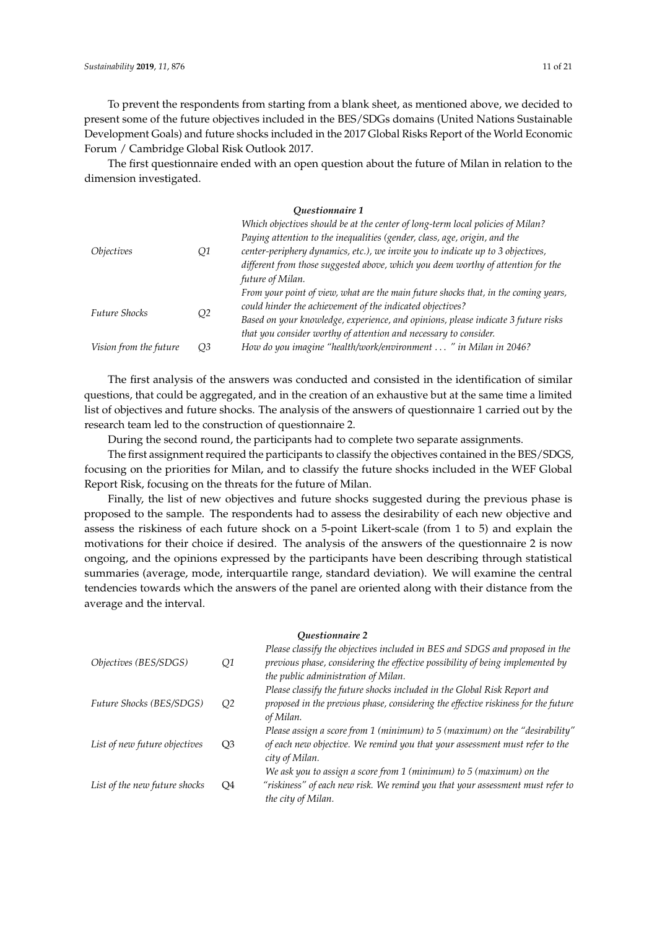To prevent the respondents from starting from a blank sheet, as mentioned above, we decided to present some of the future objectives included in the BES/SDGs domains (United Nations Sustainable Development Goals) and future shocks included in the 2017 Global Risks Report of the World Economic Forum / Cambridge Global Risk Outlook 2017.

The first questionnaire ended with an open question about the future of Milan in relation to the dimension investigated.

#### *Questionnaire 1 Objectives Q1 Which objectives should be at the center of long-term local policies of Milan? Paying attention to the inequalities (gender, class, age, origin, and the center-periphery dynamics, etc.), we invite you to indicate up to 3 objectives, different from those suggested above, which you deem worthy of attention for the future of Milan. Future Shocks Q2 From your point of view, what are the main future shocks that, in the coming years, could hinder the achievement of the indicated objectives? Based on your knowledge, experience, and opinions, please indicate 3 future risks that you consider worthy of attention and necessary to consider. Vision from the future Q3 How do you imagine "health/work/environment* . . . *" in Milan in 2046?*

The first analysis of the answers was conducted and consisted in the identification of similar questions, that could be aggregated, and in the creation of an exhaustive but at the same time a limited list of objectives and future shocks. The analysis of the answers of questionnaire 1 carried out by the research team led to the construction of questionnaire 2.

During the second round, the participants had to complete two separate assignments.

The first assignment required the participants to classify the objectives contained in the BES/SDGS, focusing on the priorities for Milan, and to classify the future shocks included in the WEF Global Report Risk, focusing on the threats for the future of Milan.

Finally, the list of new objectives and future shocks suggested during the previous phase is proposed to the sample. The respondents had to assess the desirability of each new objective and assess the riskiness of each future shock on a 5-point Likert-scale (from 1 to 5) and explain the motivations for their choice if desired. The analysis of the answers of the questionnaire 2 is now ongoing, and the opinions expressed by the participants have been describing through statistical summaries (average, mode, interquartile range, standard deviation). We will examine the central tendencies towards which the answers of the panel are oriented along with their distance from the average and the interval.

| Questionnaire 2 |  |
|-----------------|--|
|-----------------|--|

| Objectives (BES/SDGS)           | Q1             | Please classify the objectives included in BES and SDGS and proposed in the<br>previous phase, considering the effective possibility of being implemented by<br>the public administration of Milan. |
|---------------------------------|----------------|-----------------------------------------------------------------------------------------------------------------------------------------------------------------------------------------------------|
|                                 |                | Please classify the future shocks included in the Global Risk Report and                                                                                                                            |
| <b>Future Shocks (BES/SDGS)</b> | Q <sub>2</sub> | proposed in the previous phase, considering the effective riskiness for the future<br>of Milan.                                                                                                     |
|                                 |                | Please assign a score from 1 (minimum) to 5 (maximum) on the "desirability"                                                                                                                         |
| List of new future objectives   | Q3             | of each new objective. We remind you that your assessment must refer to the<br>city of Milan.                                                                                                       |
|                                 |                | We ask you to assign a score from 1 (minimum) to 5 (maximum) on the                                                                                                                                 |
| List of the new future shocks   | O4             | "riskiness" of each new risk. We remind you that your assessment must refer to<br>the city of Milan.                                                                                                |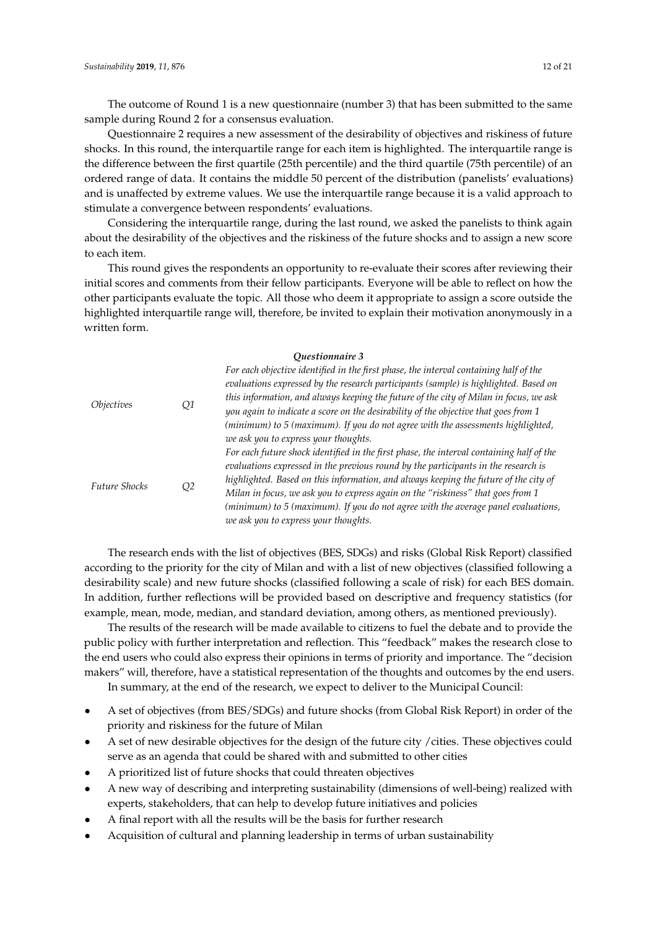The outcome of Round 1 is a new questionnaire (number 3) that has been submitted to the same sample during Round 2 for a consensus evaluation.

Questionnaire 2 requires a new assessment of the desirability of objectives and riskiness of future shocks. In this round, the interquartile range for each item is highlighted. The interquartile range is the difference between the first quartile (25th percentile) and the third quartile (75th percentile) of an ordered range of data. It contains the middle 50 percent of the distribution (panelists' evaluations) and is unaffected by extreme values. We use the interquartile range because it is a valid approach to stimulate a convergence between respondents' evaluations.

Considering the interquartile range, during the last round, we asked the panelists to think again about the desirability of the objectives and the riskiness of the future shocks and to assign a new score to each item.

This round gives the respondents an opportunity to re-evaluate their scores after reviewing their initial scores and comments from their fellow participants. Everyone will be able to reflect on how the other participants evaluate the topic. All those who deem it appropriate to assign a score outside the highlighted interquartile range will, therefore, be invited to explain their motivation anonymously in a written form.

#### *Questionnaire 3*

| <i>Objectives</i>          |    | For each objective identified in the first phase, the interval containing half of the<br>evaluations expressed by the research participants (sample) is highlighted. Based on                                                                                                                                                                                                                                                                                                          |  |
|----------------------------|----|----------------------------------------------------------------------------------------------------------------------------------------------------------------------------------------------------------------------------------------------------------------------------------------------------------------------------------------------------------------------------------------------------------------------------------------------------------------------------------------|--|
|                            | Q1 | this information, and always keeping the future of the city of Milan in focus, we ask<br>you again to indicate a score on the desirability of the objective that goes from 1                                                                                                                                                                                                                                                                                                           |  |
|                            |    | (minimum) to 5 (maximum). If you do not agree with the assessments highlighted,<br>we ask you to express your thoughts.                                                                                                                                                                                                                                                                                                                                                                |  |
| <b>Future Shocks</b><br>Q2 |    | For each future shock identified in the first phase, the interval containing half of the<br>evaluations expressed in the previous round by the participants in the research is<br>highlighted. Based on this information, and always keeping the future of the city of<br>Milan in focus, we ask you to express again on the "riskiness" that goes from 1<br>(minimum) to 5 (maximum). If you do not agree with the average panel evaluations,<br>we ask you to express your thoughts. |  |

The research ends with the list of objectives (BES, SDGs) and risks (Global Risk Report) classified according to the priority for the city of Milan and with a list of new objectives (classified following a desirability scale) and new future shocks (classified following a scale of risk) for each BES domain. In addition, further reflections will be provided based on descriptive and frequency statistics (for example, mean, mode, median, and standard deviation, among others, as mentioned previously).

The results of the research will be made available to citizens to fuel the debate and to provide the public policy with further interpretation and reflection. This "feedback" makes the research close to the end users who could also express their opinions in terms of priority and importance. The "decision makers" will, therefore, have a statistical representation of the thoughts and outcomes by the end users. In summary, at the end of the research, we expect to deliver to the Municipal Council:

• A set of objectives (from BES/SDGs) and future shocks (from Global Risk Report) in order of the priority and riskiness for the future of Milan

- A set of new desirable objectives for the design of the future city /cities. These objectives could serve as an agenda that could be shared with and submitted to other cities
- A prioritized list of future shocks that could threaten objectives
- A new way of describing and interpreting sustainability (dimensions of well-being) realized with experts, stakeholders, that can help to develop future initiatives and policies
- A final report with all the results will be the basis for further research
- Acquisition of cultural and planning leadership in terms of urban sustainability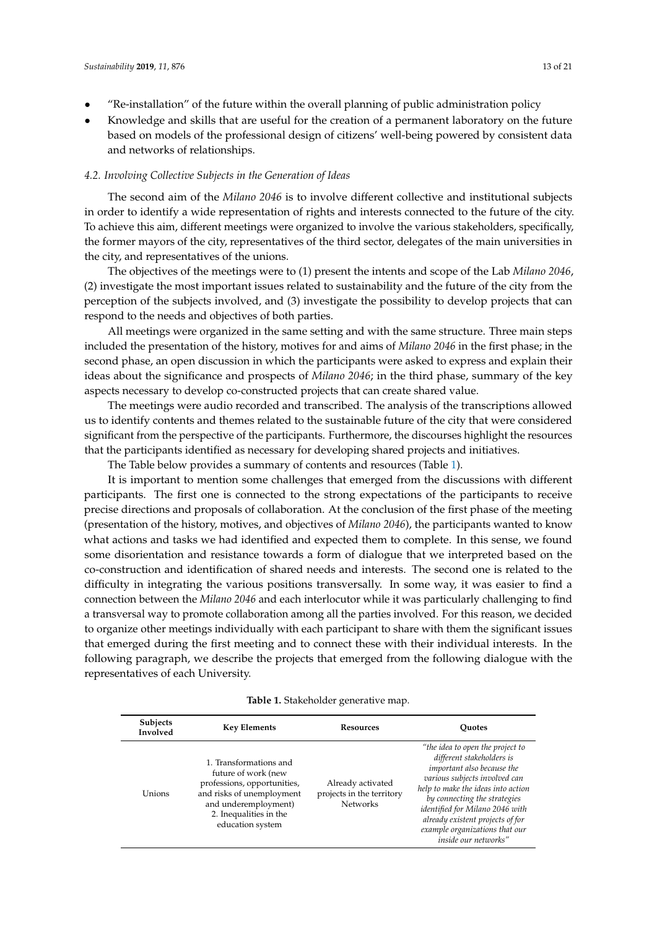- "Re-installation" of the future within the overall planning of public administration policy
- Knowledge and skills that are useful for the creation of a permanent laboratory on the future based on models of the professional design of citizens' well-being powered by consistent data and networks of relationships.

#### *4.2. Involving Collective Subjects in the Generation of Ideas*

The second aim of the *Milano 2046* is to involve different collective and institutional subjects in order to identify a wide representation of rights and interests connected to the future of the city. To achieve this aim, different meetings were organized to involve the various stakeholders, specifically, the former mayors of the city, representatives of the third sector, delegates of the main universities in the city, and representatives of the unions.

The objectives of the meetings were to (1) present the intents and scope of the Lab *Milano 2046*, (2) investigate the most important issues related to sustainability and the future of the city from the perception of the subjects involved, and (3) investigate the possibility to develop projects that can respond to the needs and objectives of both parties.

All meetings were organized in the same setting and with the same structure. Three main steps included the presentation of the history, motives for and aims of *Milano 2046* in the first phase; in the second phase, an open discussion in which the participants were asked to express and explain their ideas about the significance and prospects of *Milano 2046*; in the third phase, summary of the key aspects necessary to develop co-constructed projects that can create shared value.

The meetings were audio recorded and transcribed. The analysis of the transcriptions allowed us to identify contents and themes related to the sustainable future of the city that were considered significant from the perspective of the participants. Furthermore, the discourses highlight the resources that the participants identified as necessary for developing shared projects and initiatives.

The Table below provides a summary of contents and resources (Table [1\)](#page-13-0).

It is important to mention some challenges that emerged from the discussions with different participants. The first one is connected to the strong expectations of the participants to receive precise directions and proposals of collaboration. At the conclusion of the first phase of the meeting (presentation of the history, motives, and objectives of *Milano 2046*), the participants wanted to know what actions and tasks we had identified and expected them to complete. In this sense, we found some disorientation and resistance towards a form of dialogue that we interpreted based on the co-construction and identification of shared needs and interests. The second one is related to the difficulty in integrating the various positions transversally. In some way, it was easier to find a connection between the *Milano 2046* and each interlocutor while it was particularly challenging to find a transversal way to promote collaboration among all the parties involved. For this reason, we decided to organize other meetings individually with each participant to share with them the significant issues that emerged during the first meeting and to connect these with their individual interests. In the following paragraph, we describe the projects that emerged from the following dialogue with the representatives of each University.

|  | Table 1. Stakeholder generative map. |  |  |
|--|--------------------------------------|--|--|
|--|--------------------------------------|--|--|

| <b>Subjects</b><br>Involved | <b>Key Elements</b>                                                                                                                                                             | <b>Resources</b>                                                  | Ouotes                                                                                                                                                                                                                                                                                                                              |
|-----------------------------|---------------------------------------------------------------------------------------------------------------------------------------------------------------------------------|-------------------------------------------------------------------|-------------------------------------------------------------------------------------------------------------------------------------------------------------------------------------------------------------------------------------------------------------------------------------------------------------------------------------|
| Unions                      | 1. Transformations and<br>future of work (new<br>professions, opportunities,<br>and risks of unemployment<br>and underemployment)<br>2. Inequalities in the<br>education system | Already activated<br>projects in the territory<br><b>Networks</b> | "the idea to open the project to<br>different stakeholders is<br>important also because the<br>various subjects involved can<br>help to make the ideas into action<br>by connecting the strategies<br>identified for Milano 2046 with<br>already existent projects of for<br>example organizations that our<br>inside our networks" |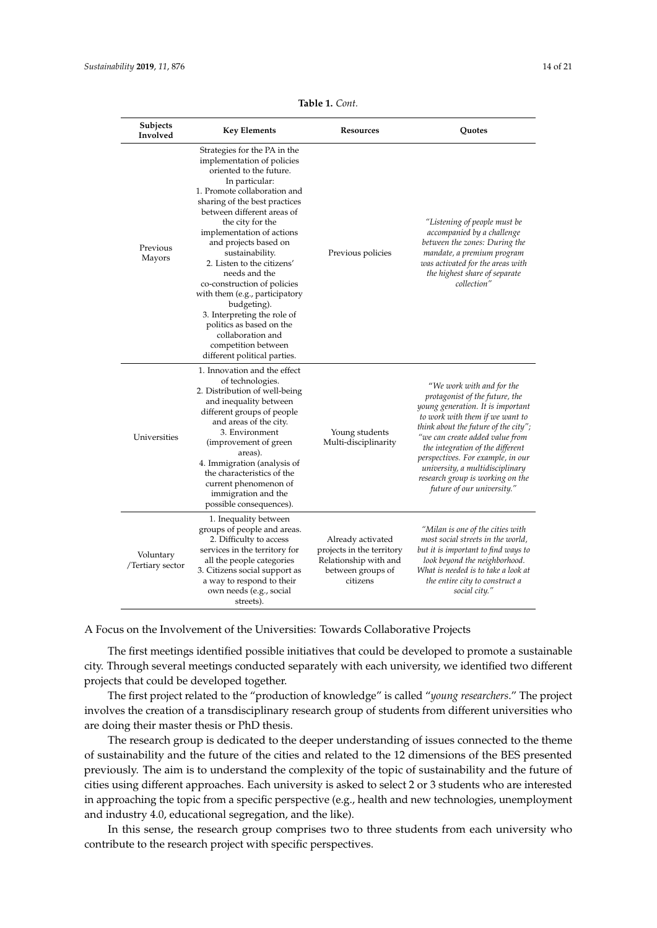<span id="page-13-0"></span>

| Subjects<br>Involved          | <b>Key Elements</b>                                                                                                                                                                                                                                                                                                                                                                                                                                                                                                                                                       | <b>Resources</b>                                                                                         | Quotes                                                                                                                                                                                                                                                                                                                                                                                        |
|-------------------------------|---------------------------------------------------------------------------------------------------------------------------------------------------------------------------------------------------------------------------------------------------------------------------------------------------------------------------------------------------------------------------------------------------------------------------------------------------------------------------------------------------------------------------------------------------------------------------|----------------------------------------------------------------------------------------------------------|-----------------------------------------------------------------------------------------------------------------------------------------------------------------------------------------------------------------------------------------------------------------------------------------------------------------------------------------------------------------------------------------------|
| Previous<br>Mayors            | Strategies for the PA in the<br>implementation of policies<br>oriented to the future.<br>In particular:<br>1. Promote collaboration and<br>sharing of the best practices<br>between different areas of<br>the city for the<br>implementation of actions<br>and projects based on<br>sustainability.<br>2. Listen to the citizens'<br>needs and the<br>co-construction of policies<br>with them (e.g., participatory<br>budgeting).<br>3. Interpreting the role of<br>politics as based on the<br>collaboration and<br>competition between<br>different political parties. | Previous policies                                                                                        | "Listening of people must be<br>accompanied by a challenge<br>between the zones: During the<br>mandate, a premium program<br>was activated for the areas with<br>the highest share of separate<br>collection"                                                                                                                                                                                 |
| Universities                  | 1. Innovation and the effect<br>of technologies.<br>2. Distribution of well-being<br>and inequality between<br>different groups of people<br>and areas of the city.<br>3. Environment<br>(improvement of green)<br>areas).<br>4. Immigration (analysis of<br>the characteristics of the<br>current phenomenon of<br>immigration and the<br>possible consequences).                                                                                                                                                                                                        | Young students<br>Multi-disciplinarity                                                                   | "We work with and for the<br>protagonist of the future, the<br>young generation. It is important<br>to work with them if we want to<br>think about the future of the city";<br>uve can create added value from"<br>the integration of the different<br>perspectives. For example, in our<br>university, a multidisciplinary<br>research group is working on the<br>future of our university." |
| Voluntary<br>/Tertiary sector | 1. Inequality between<br>groups of people and areas.<br>2. Difficulty to access<br>services in the territory for<br>all the people categories<br>3. Citizens social support as<br>a way to respond to their<br>own needs (e.g., social<br>streets).                                                                                                                                                                                                                                                                                                                       | Already activated<br>projects in the territory<br>Relationship with and<br>between groups of<br>citizens | "Milan is one of the cities with<br>most social streets in the world,<br>but it is important to find ways to<br>look beyond the neighborhood.<br>What is needed is to take a look at<br>the entire city to construct a<br>social city."                                                                                                                                                       |

**Table 1.** *Cont.*

A Focus on the Involvement of the Universities: Towards Collaborative Projects

The first meetings identified possible initiatives that could be developed to promote a sustainable city. Through several meetings conducted separately with each university, we identified two different projects that could be developed together.

The first project related to the "production of knowledge" is called "*young researchers*." The project involves the creation of a transdisciplinary research group of students from different universities who are doing their master thesis or PhD thesis.

The research group is dedicated to the deeper understanding of issues connected to the theme of sustainability and the future of the cities and related to the 12 dimensions of the BES presented previously. The aim is to understand the complexity of the topic of sustainability and the future of cities using different approaches. Each university is asked to select 2 or 3 students who are interested in approaching the topic from a specific perspective (e.g., health and new technologies, unemployment and industry 4.0, educational segregation, and the like).

In this sense, the research group comprises two to three students from each university who contribute to the research project with specific perspectives.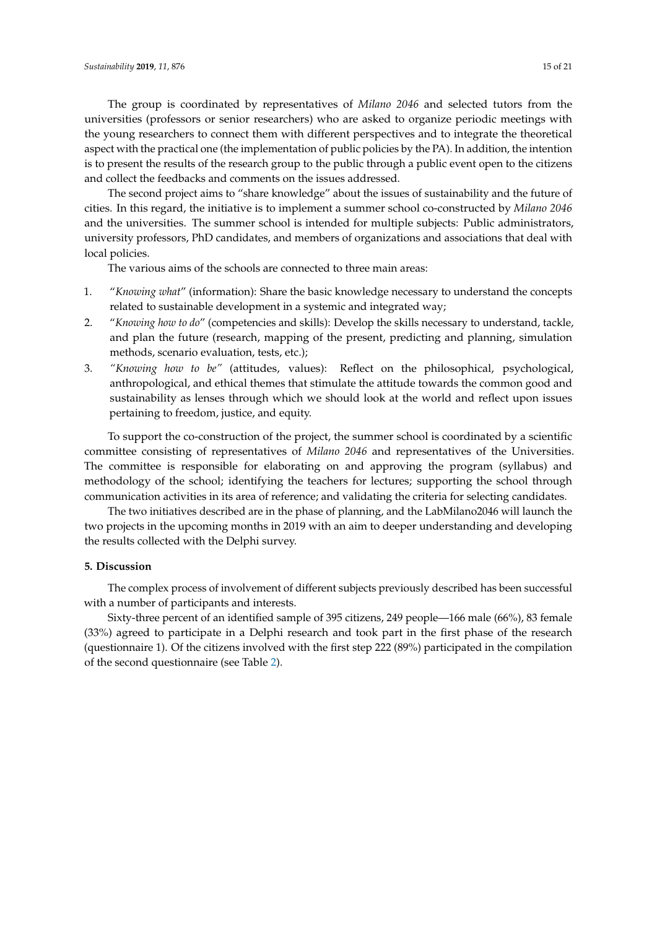The group is coordinated by representatives of *Milano 2046* and selected tutors from the universities (professors or senior researchers) who are asked to organize periodic meetings with the young researchers to connect them with different perspectives and to integrate the theoretical aspect with the practical one (the implementation of public policies by the PA). In addition, the intention is to present the results of the research group to the public through a public event open to the citizens and collect the feedbacks and comments on the issues addressed.

The second project aims to "share knowledge" about the issues of sustainability and the future of cities. In this regard, the initiative is to implement a summer school co-constructed by *Milano 2046* and the universities. The summer school is intended for multiple subjects: Public administrators, university professors, PhD candidates, and members of organizations and associations that deal with local policies.

The various aims of the schools are connected to three main areas:

- 1. "*Knowing what*" (information): Share the basic knowledge necessary to understand the concepts related to sustainable development in a systemic and integrated way;
- 2. "*Knowing how to do*" (competencies and skills): Develop the skills necessary to understand, tackle, and plan the future (research, mapping of the present, predicting and planning, simulation methods, scenario evaluation, tests, etc.);
- 3. *"Knowing how to be"* (attitudes, values): Reflect on the philosophical, psychological, anthropological, and ethical themes that stimulate the attitude towards the common good and sustainability as lenses through which we should look at the world and reflect upon issues pertaining to freedom, justice, and equity.

To support the co-construction of the project, the summer school is coordinated by a scientific committee consisting of representatives of *Milano 2046* and representatives of the Universities. The committee is responsible for elaborating on and approving the program (syllabus) and methodology of the school; identifying the teachers for lectures; supporting the school through communication activities in its area of reference; and validating the criteria for selecting candidates.

The two initiatives described are in the phase of planning, and the LabMilano2046 will launch the two projects in the upcoming months in 2019 with an aim to deeper understanding and developing the results collected with the Delphi survey.

## **5. Discussion**

The complex process of involvement of different subjects previously described has been successful with a number of participants and interests.

Sixty-three percent of an identified sample of 395 citizens, 249 people—166 male (66%), 83 female (33%) agreed to participate in a Delphi research and took part in the first phase of the research (questionnaire 1). Of the citizens involved with the first step 222 (89%) participated in the compilation of the second questionnaire (see Table [2\)](#page-15-0).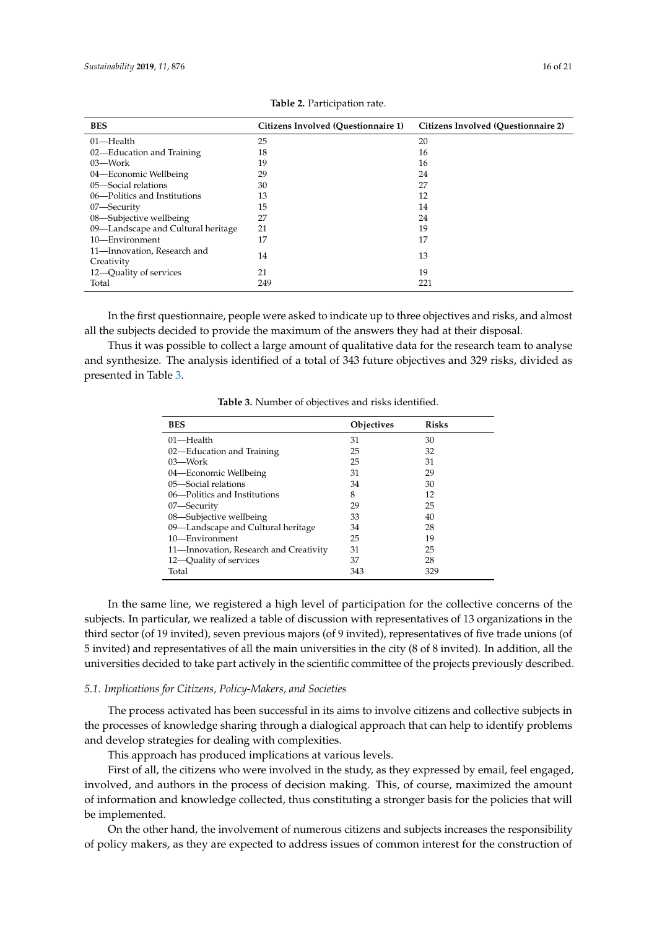<span id="page-15-0"></span>

| Citizens Involved (Questionnaire 1) | Citizens Involved (Questionnaire 2) |
|-------------------------------------|-------------------------------------|
| 25                                  | 20                                  |
| 18                                  | 16                                  |
| 19                                  | 16                                  |
| 29                                  | 24                                  |
| 30                                  | 27                                  |
| 13                                  | 12                                  |
| 15                                  | 14                                  |
| 27                                  | 24                                  |
| 21                                  | 19                                  |
| 17                                  | 17                                  |
|                                     | 13                                  |
|                                     |                                     |
| 21                                  | 19                                  |
| 249                                 | 221                                 |
|                                     | 14                                  |

**Table 2.** Participation rate.

In the first questionnaire, people were asked to indicate up to three objectives and risks, and almost all the subjects decided to provide the maximum of the answers they had at their disposal.

<span id="page-15-1"></span>Thus it was possible to collect a large amount of qualitative data for the research team to analyse and synthesize. The analysis identified of a total of 343 future objectives and 329 risks, divided as presented in Table [3.](#page-15-1)

| <b>BES</b>                             | <b>Objectives</b> | <b>Risks</b> |
|----------------------------------------|-------------------|--------------|
| 01-Health                              | 31                | 30           |
| 02—Education and Training              | 25                | 32           |
| 03-Work                                | 25                | 31           |
| 04—Economic Wellbeing                  | 31                | 29           |
| 05-Social relations                    | 34                | 30           |
| 06—Politics and Institutions           | 8                 | 12           |
| 07—Security                            | 29                | 25           |
| 08-Subjective wellbeing                | 33                | 40           |
| 09—Landscape and Cultural heritage     | 34                | 28           |
| 10-Environment                         | 25                | 19           |
| 11—Innovation, Research and Creativity | 31                | 25           |
| 12-Quality of services                 | 37                | 28           |
| Total                                  | 343               | 329          |

**Table 3.** Number of objectives and risks identified.

In the same line, we registered a high level of participation for the collective concerns of the subjects. In particular, we realized a table of discussion with representatives of 13 organizations in the third sector (of 19 invited), seven previous majors (of 9 invited), representatives of five trade unions (of 5 invited) and representatives of all the main universities in the city (8 of 8 invited). In addition, all the universities decided to take part actively in the scientific committee of the projects previously described.

#### *5.1. Implications for Citizens, Policy-Makers, and Societies*

The process activated has been successful in its aims to involve citizens and collective subjects in the processes of knowledge sharing through a dialogical approach that can help to identify problems and develop strategies for dealing with complexities.

This approach has produced implications at various levels.

First of all, the citizens who were involved in the study, as they expressed by email, feel engaged, involved, and authors in the process of decision making. This, of course, maximized the amount of information and knowledge collected, thus constituting a stronger basis for the policies that will be implemented.

On the other hand, the involvement of numerous citizens and subjects increases the responsibility of policy makers, as they are expected to address issues of common interest for the construction of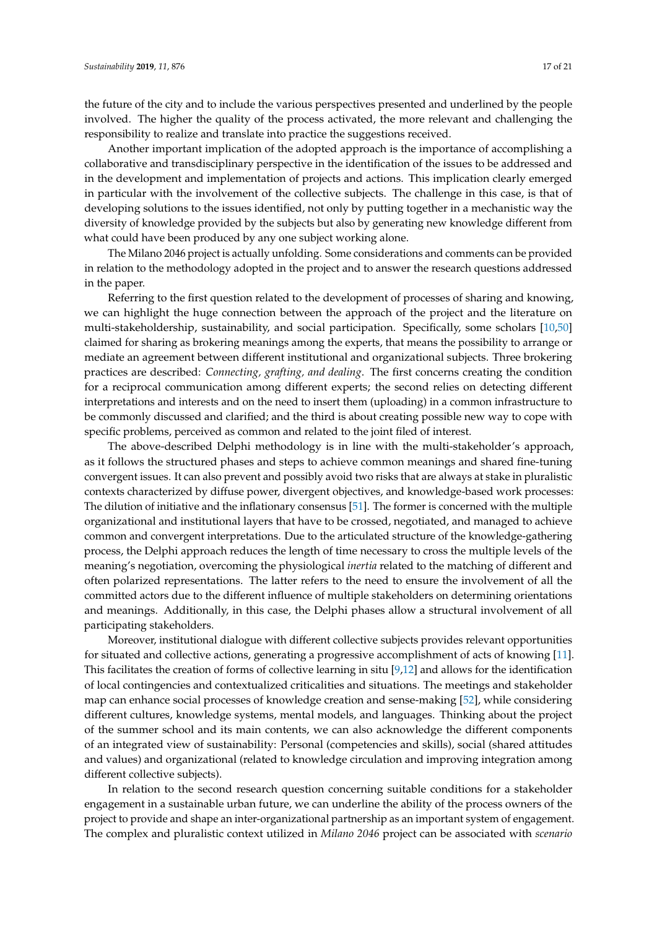the future of the city and to include the various perspectives presented and underlined by the people involved. The higher the quality of the process activated, the more relevant and challenging the responsibility to realize and translate into practice the suggestions received.

Another important implication of the adopted approach is the importance of accomplishing a collaborative and transdisciplinary perspective in the identification of the issues to be addressed and in the development and implementation of projects and actions. This implication clearly emerged in particular with the involvement of the collective subjects. The challenge in this case, is that of developing solutions to the issues identified, not only by putting together in a mechanistic way the diversity of knowledge provided by the subjects but also by generating new knowledge different from what could have been produced by any one subject working alone.

The Milano 2046 project is actually unfolding. Some considerations and comments can be provided in relation to the methodology adopted in the project and to answer the research questions addressed in the paper.

Referring to the first question related to the development of processes of sharing and knowing, we can highlight the huge connection between the approach of the project and the literature on multi-stakeholdership, sustainability, and social participation. Specifically, some scholars [\[10](#page-18-10)[,50\]](#page-20-6) claimed for sharing as brokering meanings among the experts, that means the possibility to arrange or mediate an agreement between different institutional and organizational subjects. Three brokering practices are described: *Connecting, grafting, and dealing*. The first concerns creating the condition for a reciprocal communication among different experts; the second relies on detecting different interpretations and interests and on the need to insert them (uploading) in a common infrastructure to be commonly discussed and clarified; and the third is about creating possible new way to cope with specific problems, perceived as common and related to the joint filed of interest.

The above-described Delphi methodology is in line with the multi-stakeholder's approach, as it follows the structured phases and steps to achieve common meanings and shared fine-tuning convergent issues. It can also prevent and possibly avoid two risks that are always at stake in pluralistic contexts characterized by diffuse power, divergent objectives, and knowledge-based work processes: The dilution of initiative and the inflationary consensus [\[51\]](#page-20-7). The former is concerned with the multiple organizational and institutional layers that have to be crossed, negotiated, and managed to achieve common and convergent interpretations. Due to the articulated structure of the knowledge-gathering process, the Delphi approach reduces the length of time necessary to cross the multiple levels of the meaning's negotiation, overcoming the physiological *inertia* related to the matching of different and often polarized representations. The latter refers to the need to ensure the involvement of all the committed actors due to the different influence of multiple stakeholders on determining orientations and meanings. Additionally, in this case, the Delphi phases allow a structural involvement of all participating stakeholders.

Moreover, institutional dialogue with different collective subjects provides relevant opportunities for situated and collective actions, generating a progressive accomplishment of acts of knowing [\[11\]](#page-18-9). This facilitates the creation of forms of collective learning in situ [\[9,](#page-18-8)[12\]](#page-19-0) and allows for the identification of local contingencies and contextualized criticalities and situations. The meetings and stakeholder map can enhance social processes of knowledge creation and sense-making [\[52\]](#page-20-8), while considering different cultures, knowledge systems, mental models, and languages. Thinking about the project of the summer school and its main contents, we can also acknowledge the different components of an integrated view of sustainability: Personal (competencies and skills), social (shared attitudes and values) and organizational (related to knowledge circulation and improving integration among different collective subjects).

In relation to the second research question concerning suitable conditions for a stakeholder engagement in a sustainable urban future, we can underline the ability of the process owners of the project to provide and shape an inter-organizational partnership as an important system of engagement. The complex and pluralistic context utilized in *Milano 2046* project can be associated with *scenario*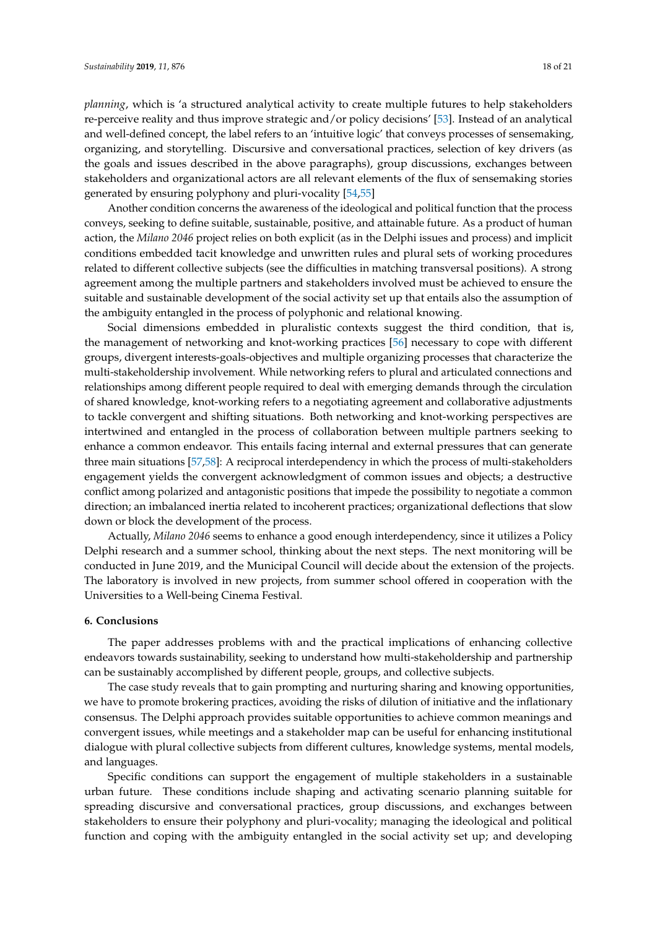*planning*, which is 'a structured analytical activity to create multiple futures to help stakeholders re-perceive reality and thus improve strategic and/or policy decisions' [\[53\]](#page-20-9). Instead of an analytical and well-defined concept, the label refers to an 'intuitive logic' that conveys processes of sensemaking, organizing, and storytelling. Discursive and conversational practices, selection of key drivers (as the goals and issues described in the above paragraphs), group discussions, exchanges between stakeholders and organizational actors are all relevant elements of the flux of sensemaking stories generated by ensuring polyphony and pluri-vocality [\[54,](#page-20-10)[55\]](#page-20-11)

Another condition concerns the awareness of the ideological and political function that the process conveys, seeking to define suitable, sustainable, positive, and attainable future. As a product of human action, the *Milano 2046* project relies on both explicit (as in the Delphi issues and process) and implicit conditions embedded tacit knowledge and unwritten rules and plural sets of working procedures related to different collective subjects (see the difficulties in matching transversal positions). A strong agreement among the multiple partners and stakeholders involved must be achieved to ensure the suitable and sustainable development of the social activity set up that entails also the assumption of the ambiguity entangled in the process of polyphonic and relational knowing.

Social dimensions embedded in pluralistic contexts suggest the third condition, that is, the management of networking and knot-working practices [\[56\]](#page-20-12) necessary to cope with different groups, divergent interests-goals-objectives and multiple organizing processes that characterize the multi-stakeholdership involvement. While networking refers to plural and articulated connections and relationships among different people required to deal with emerging demands through the circulation of shared knowledge, knot-working refers to a negotiating agreement and collaborative adjustments to tackle convergent and shifting situations. Both networking and knot-working perspectives are intertwined and entangled in the process of collaboration between multiple partners seeking to enhance a common endeavor. This entails facing internal and external pressures that can generate three main situations [\[57](#page-20-13)[,58\]](#page-20-14): A reciprocal interdependency in which the process of multi-stakeholders engagement yields the convergent acknowledgment of common issues and objects; a destructive conflict among polarized and antagonistic positions that impede the possibility to negotiate a common direction; an imbalanced inertia related to incoherent practices; organizational deflections that slow down or block the development of the process.

Actually, *Milano 2046* seems to enhance a good enough interdependency, since it utilizes a Policy Delphi research and a summer school, thinking about the next steps. The next monitoring will be conducted in June 2019, and the Municipal Council will decide about the extension of the projects. The laboratory is involved in new projects, from summer school offered in cooperation with the Universities to a Well-being Cinema Festival.

#### **6. Conclusions**

The paper addresses problems with and the practical implications of enhancing collective endeavors towards sustainability, seeking to understand how multi-stakeholdership and partnership can be sustainably accomplished by different people, groups, and collective subjects.

The case study reveals that to gain prompting and nurturing sharing and knowing opportunities, we have to promote brokering practices, avoiding the risks of dilution of initiative and the inflationary consensus. The Delphi approach provides suitable opportunities to achieve common meanings and convergent issues, while meetings and a stakeholder map can be useful for enhancing institutional dialogue with plural collective subjects from different cultures, knowledge systems, mental models, and languages.

Specific conditions can support the engagement of multiple stakeholders in a sustainable urban future. These conditions include shaping and activating scenario planning suitable for spreading discursive and conversational practices, group discussions, and exchanges between stakeholders to ensure their polyphony and pluri-vocality; managing the ideological and political function and coping with the ambiguity entangled in the social activity set up; and developing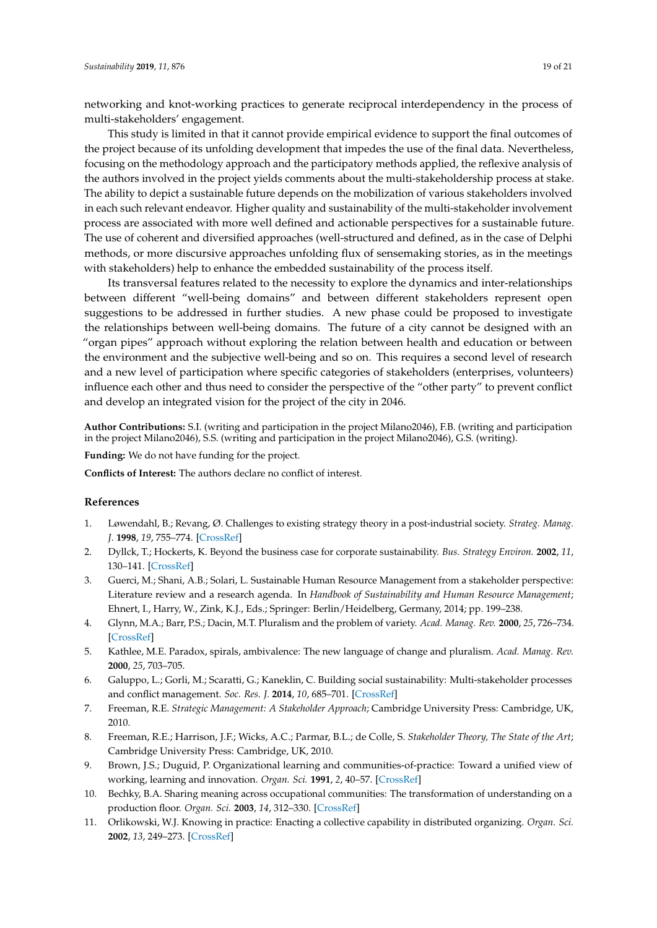networking and knot-working practices to generate reciprocal interdependency in the process of multi-stakeholders' engagement.

This study is limited in that it cannot provide empirical evidence to support the final outcomes of the project because of its unfolding development that impedes the use of the final data. Nevertheless, focusing on the methodology approach and the participatory methods applied, the reflexive analysis of the authors involved in the project yields comments about the multi-stakeholdership process at stake. The ability to depict a sustainable future depends on the mobilization of various stakeholders involved in each such relevant endeavor. Higher quality and sustainability of the multi-stakeholder involvement process are associated with more well defined and actionable perspectives for a sustainable future. The use of coherent and diversified approaches (well-structured and defined, as in the case of Delphi methods, or more discursive approaches unfolding flux of sensemaking stories, as in the meetings with stakeholders) help to enhance the embedded sustainability of the process itself.

Its transversal features related to the necessity to explore the dynamics and inter-relationships between different "well-being domains" and between different stakeholders represent open suggestions to be addressed in further studies. A new phase could be proposed to investigate the relationships between well-being domains. The future of a city cannot be designed with an "organ pipes" approach without exploring the relation between health and education or between the environment and the subjective well-being and so on. This requires a second level of research and a new level of participation where specific categories of stakeholders (enterprises, volunteers) influence each other and thus need to consider the perspective of the "other party" to prevent conflict and develop an integrated vision for the project of the city in 2046.

**Author Contributions:** S.I. (writing and participation in the project Milano2046), F.B. (writing and participation in the project Milano2046), S.S. (writing and participation in the project Milano2046), G.S. (writing).

**Funding:** We do not have funding for the project.

**Conflicts of Interest:** The authors declare no conflict of interest.

## **References**

- <span id="page-18-0"></span>1. Løwendahl, B.; Revang, Ø. Challenges to existing strategy theory in a post-industrial society. *Strateg. Manag. J.* **1998**, *19*, 755–774. [\[CrossRef\]](http://dx.doi.org/10.1002/(SICI)1097-0266(199808)19:8<755::AID-SMJ968>3.0.CO;2-A)
- <span id="page-18-1"></span>2. Dyllck, T.; Hockerts, K. Beyond the business case for corporate sustainability. *Bus. Strategy Environ.* **2002**, *11*, 130–141. [\[CrossRef\]](http://dx.doi.org/10.1002/bse.323)
- <span id="page-18-2"></span>3. Guerci, M.; Shani, A.B.; Solari, L. Sustainable Human Resource Management from a stakeholder perspective: Literature review and a research agenda. In *Handbook of Sustainability and Human Resource Management*; Ehnert, I., Harry, W., Zink, K.J., Eds.; Springer: Berlin/Heidelberg, Germany, 2014; pp. 199–238.
- <span id="page-18-3"></span>4. Glynn, M.A.; Barr, P.S.; Dacin, M.T. Pluralism and the problem of variety. *Acad. Manag. Rev.* **2000**, *25*, 726–734. [\[CrossRef\]](http://dx.doi.org/10.5465/amr.2000.3707700)
- <span id="page-18-4"></span>5. Kathlee, M.E. Paradox, spirals, ambivalence: The new language of change and pluralism. *Acad. Manag. Rev.* **2000**, *25*, 703–705.
- <span id="page-18-5"></span>6. Galuppo, L.; Gorli, M.; Scaratti, G.; Kaneklin, C. Building social sustainability: Multi-stakeholder processes and conflict management. *Soc. Res. J.* **2014**, *10*, 685–701. [\[CrossRef\]](http://dx.doi.org/10.1108/SRJ-10-2012-0134)
- <span id="page-18-6"></span>7. Freeman, R.E. *Strategic Management: A Stakeholder Approach*; Cambridge University Press: Cambridge, UK, 2010.
- <span id="page-18-7"></span>8. Freeman, R.E.; Harrison, J.F.; Wicks, A.C.; Parmar, B.L.; de Colle, S. *Stakeholder Theory, The State of the Art*; Cambridge University Press: Cambridge, UK, 2010.
- <span id="page-18-8"></span>9. Brown, J.S.; Duguid, P. Organizational learning and communities-of-practice: Toward a unified view of working, learning and innovation. *Organ. Sci.* **1991**, *2*, 40–57. [\[CrossRef\]](http://dx.doi.org/10.1287/orsc.2.1.40)
- <span id="page-18-10"></span>10. Bechky, B.A. Sharing meaning across occupational communities: The transformation of understanding on a production floor. *Organ. Sci.* **2003**, *14*, 312–330. [\[CrossRef\]](http://dx.doi.org/10.1287/orsc.14.3.312.15162)
- <span id="page-18-9"></span>11. Orlikowski, W.J. Knowing in practice: Enacting a collective capability in distributed organizing. *Organ. Sci.* **2002**, *13*, 249–273. [\[CrossRef\]](http://dx.doi.org/10.1287/orsc.13.3.249.2776)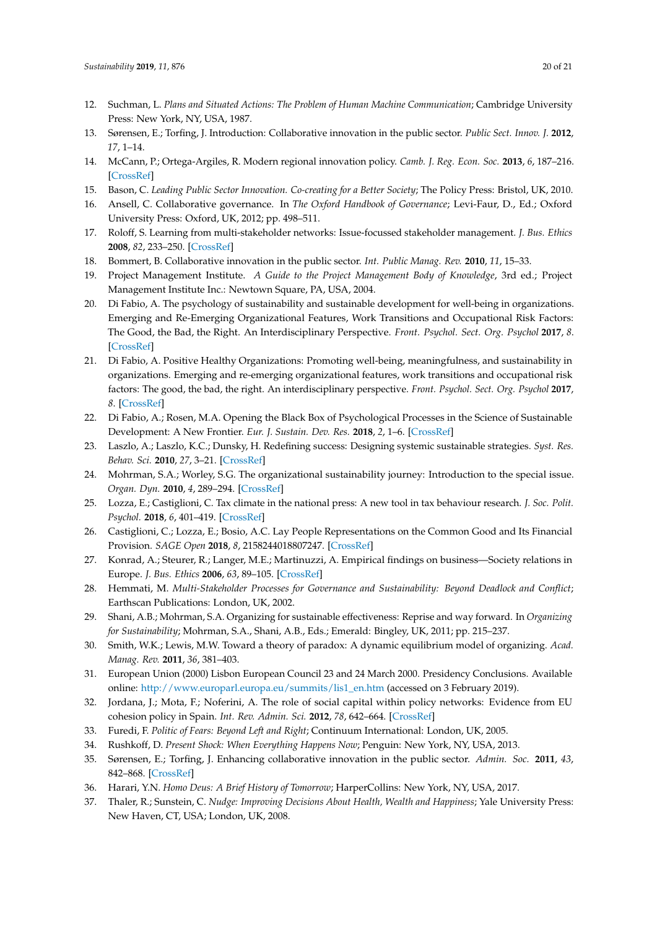- <span id="page-19-0"></span>12. Suchman, L. *Plans and Situated Actions: The Problem of Human Machine Communication*; Cambridge University Press: New York, NY, USA, 1987.
- <span id="page-19-1"></span>13. Sørensen, E.; Torfing, J. Introduction: Collaborative innovation in the public sector. *Public Sect. Innov. J.* **2012**, *17*, 1–14.
- <span id="page-19-2"></span>14. McCann, P.; Ortega-Argiles, R. Modern regional innovation policy. *Camb. J. Reg. Econ. Soc.* **2013**, *6*, 187–216. [\[CrossRef\]](http://dx.doi.org/10.1093/cjres/rst007)
- <span id="page-19-3"></span>15. Bason, C. *Leading Public Sector Innovation. Co-creating for a Better Society*; The Policy Press: Bristol, UK, 2010.
- <span id="page-19-4"></span>16. Ansell, C. Collaborative governance. In *The Oxford Handbook of Governance*; Levi-Faur, D., Ed.; Oxford University Press: Oxford, UK, 2012; pp. 498–511.
- <span id="page-19-5"></span>17. Roloff, S. Learning from multi-stakeholder networks: Issue-focussed stakeholder management. *J. Bus. Ethics* **2008**, *82*, 233–250. [\[CrossRef\]](http://dx.doi.org/10.1007/s10551-007-9573-3)
- <span id="page-19-6"></span>18. Bommert, B. Collaborative innovation in the public sector. *Int. Public Manag. Rev.* **2010**, *11*, 15–33.
- <span id="page-19-7"></span>19. Project Management Institute. *A Guide to the Project Management Body of Knowledge*, 3rd ed.; Project Management Institute Inc.: Newtown Square, PA, USA, 2004.
- <span id="page-19-8"></span>20. Di Fabio, A. The psychology of sustainability and sustainable development for well-being in organizations. Emerging and Re-Emerging Organizational Features, Work Transitions and Occupational Risk Factors: The Good, the Bad, the Right. An Interdisciplinary Perspective. *Front. Psychol. Sect. Org. Psychol* **2017**, *8*. [\[CrossRef\]](http://dx.doi.org/10.3389/fpsyg.2017.01534)
- 21. Di Fabio, A. Positive Healthy Organizations: Promoting well-being, meaningfulness, and sustainability in organizations. Emerging and re-emerging organizational features, work transitions and occupational risk factors: The good, the bad, the right. An interdisciplinary perspective. *Front. Psychol. Sect. Org. Psychol* **2017**, *8*. [\[CrossRef\]](http://dx.doi.org/10.3389/fpsyg.2017.01938)
- <span id="page-19-9"></span>22. Di Fabio, A.; Rosen, M.A. Opening the Black Box of Psychological Processes in the Science of Sustainable Development: A New Frontier. *Eur. J. Sustain. Dev. Res.* **2018**, *2*, 1–6. [\[CrossRef\]](http://dx.doi.org/10.20897/ejosdr/3933)
- <span id="page-19-10"></span>23. Laszlo, A.; Laszlo, K.C.; Dunsky, H. Redefining success: Designing systemic sustainable strategies. *Syst. Res. Behav. Sci.* **2010**, *27*, 3–21. [\[CrossRef\]](http://dx.doi.org/10.1002/sres.982)
- <span id="page-19-11"></span>24. Mohrman, S.A.; Worley, S.G. The organizational sustainability journey: Introduction to the special issue. *Organ. Dyn.* **2010**, *4*, 289–294. [\[CrossRef\]](http://dx.doi.org/10.1016/j.orgdyn.2010.07.008)
- <span id="page-19-12"></span>25. Lozza, E.; Castiglioni, C. Tax climate in the national press: A new tool in tax behaviour research. *J. Soc. Polit. Psychol.* **2018**, *6*, 401–419. [\[CrossRef\]](http://dx.doi.org/10.5964/jspp.v6i2.937)
- <span id="page-19-13"></span>26. Castiglioni, C.; Lozza, E.; Bosio, A.C. Lay People Representations on the Common Good and Its Financial Provision. *SAGE Open* **2018**, *8*, 2158244018807247. [\[CrossRef\]](http://dx.doi.org/10.1177/2158244018807247)
- <span id="page-19-14"></span>27. Konrad, A.; Steurer, R.; Langer, M.E.; Martinuzzi, A. Empirical findings on business—Society relations in Europe. *J. Bus. Ethics* **2006**, *63*, 89–105. [\[CrossRef\]](http://dx.doi.org/10.1007/s10551-005-7055-z)
- <span id="page-19-15"></span>28. Hemmati, M. *Multi-Stakeholder Processes for Governance and Sustainability: Beyond Deadlock and Conflict*; Earthscan Publications: London, UK, 2002.
- <span id="page-19-16"></span>29. Shani, A.B.; Mohrman, S.A. Organizing for sustainable effectiveness: Reprise and way forward. In *Organizing for Sustainability*; Mohrman, S.A., Shani, A.B., Eds.; Emerald: Bingley, UK, 2011; pp. 215–237.
- <span id="page-19-17"></span>30. Smith, W.K.; Lewis, M.W. Toward a theory of paradox: A dynamic equilibrium model of organizing. *Acad. Manag. Rev.* **2011**, *36*, 381–403.
- <span id="page-19-18"></span>31. European Union (2000) Lisbon European Council 23 and 24 March 2000. Presidency Conclusions. Available online: [http://www.europarl.europa.eu/summits/lis1\\_en.htm](http://www.europarl.europa.eu/summits/lis1_en.htm) (accessed on 3 February 2019).
- <span id="page-19-19"></span>32. Jordana, J.; Mota, F.; Noferini, A. The role of social capital within policy networks: Evidence from EU cohesion policy in Spain. *Int. Rev. Admin. Sci.* **2012**, *78*, 642–664. [\[CrossRef\]](http://dx.doi.org/10.1177/0020852312455577)
- <span id="page-19-20"></span>33. Furedi, F. *Politic of Fears: Beyond Left and Right*; Continuum International: London, UK, 2005.
- <span id="page-19-21"></span>34. Rushkoff, D. *Present Shock: When Everything Happens Now*; Penguin: New York, NY, USA, 2013.
- <span id="page-19-22"></span>35. Sørensen, E.; Torfing, J. Enhancing collaborative innovation in the public sector. *Admin. Soc.* **2011**, *43*, 842–868. [\[CrossRef\]](http://dx.doi.org/10.1177/0095399711418768)
- <span id="page-19-23"></span>36. Harari, Y.N. *Homo Deus: A Brief History of Tomorrow*; HarperCollins: New York, NY, USA, 2017.
- <span id="page-19-24"></span>37. Thaler, R.; Sunstein, C. *Nudge: Improving Decisions About Health, Wealth and Happiness*; Yale University Press: New Haven, CT, USA; London, UK, 2008.